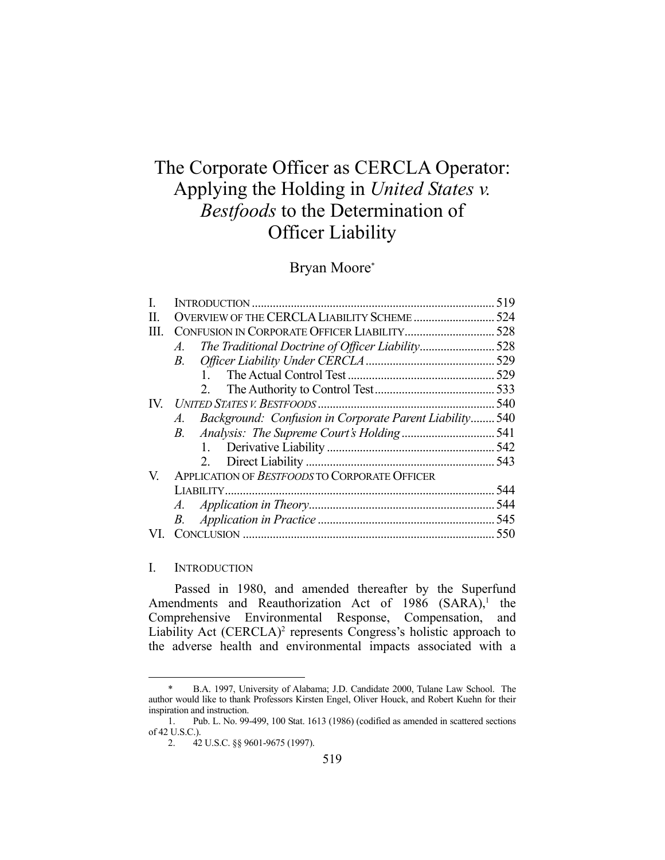# The Corporate Officer as CERCLA Operator: Applying the Holding in *United States v. Bestfoods* to the Determination of Officer Liability

## Bryan Moore\*

|      |                                                                        | 519 |
|------|------------------------------------------------------------------------|-----|
| H.   | OVERVIEW OF THE CERCLA LIABILITY SCHEME 524                            |     |
| III. |                                                                        |     |
|      | The Traditional Doctrine of Officer Liability528<br>$A$ .              |     |
|      | <i>B</i> .                                                             |     |
|      |                                                                        |     |
|      | 2.                                                                     |     |
|      |                                                                        |     |
|      | Background: Confusion in Corporate Parent Liability 540<br>$A_{\cdot}$ |     |
|      | $B$ .                                                                  |     |
|      | 1.                                                                     |     |
|      |                                                                        |     |
| V.   | APPLICATION OF BESTFOODS TO CORPORATE OFFICER                          |     |
|      |                                                                        |     |
|      | A.                                                                     |     |
|      | B.                                                                     |     |
|      |                                                                        |     |
|      |                                                                        |     |

#### I. INTRODUCTION

1

 Passed in 1980, and amended thereafter by the Superfund Amendments and Reauthorization Act of  $1986$  (SARA),<sup>1</sup> the Comprehensive Environmental Response, Compensation, and Liability Act (CERCLA)<sup>2</sup> represents Congress's holistic approach to the adverse health and environmental impacts associated with a

B.A. 1997, University of Alabama; J.D. Candidate 2000, Tulane Law School. The author would like to thank Professors Kirsten Engel, Oliver Houck, and Robert Kuehn for their inspiration and instruction.

 <sup>1.</sup> Pub. L. No. 99-499, 100 Stat. 1613 (1986) (codified as amended in scattered sections of 42 U.S.C.).

 <sup>2. 42</sup> U.S.C. §§ 9601-9675 (1997).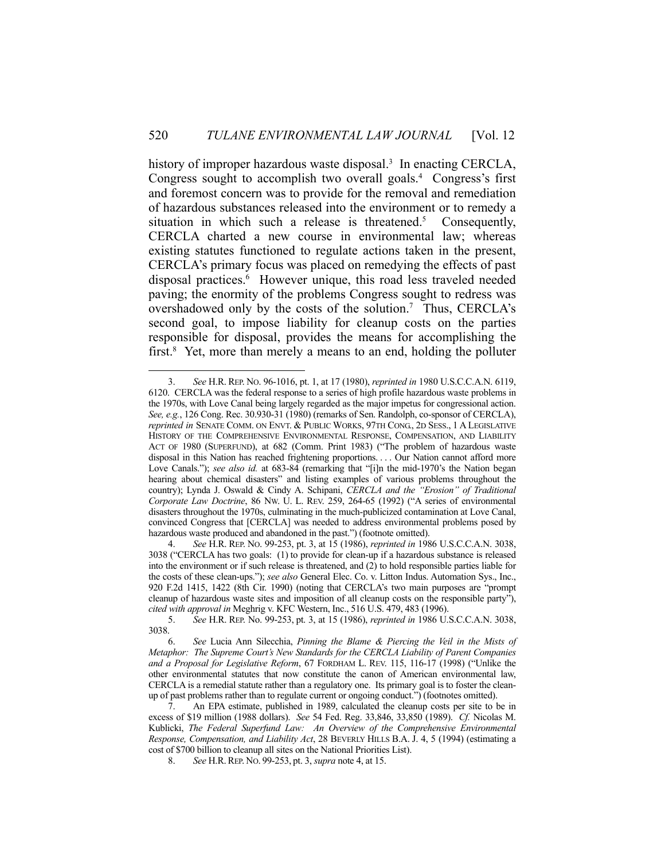history of improper hazardous waste disposal.<sup>3</sup> In enacting CERCLA, Congress sought to accomplish two overall goals.<sup>4</sup> Congress's first and foremost concern was to provide for the removal and remediation of hazardous substances released into the environment or to remedy a situation in which such a release is threatened.<sup>5</sup> Consequently, CERCLA charted a new course in environmental law; whereas existing statutes functioned to regulate actions taken in the present, CERCLA's primary focus was placed on remedying the effects of past disposal practices.<sup>6</sup> However unique, this road less traveled needed paving; the enormity of the problems Congress sought to redress was overshadowed only by the costs of the solution.<sup>7</sup> Thus, CERCLA's second goal, to impose liability for cleanup costs on the parties responsible for disposal, provides the means for accomplishing the first.<sup>8</sup> Yet, more than merely a means to an end, holding the polluter

 <sup>3.</sup> *See* H.R. REP. NO. 96-1016, pt. 1, at 17 (1980), *reprinted in* 1980 U.S.C.C.A.N. 6119, 6120. CERCLA was the federal response to a series of high profile hazardous waste problems in the 1970s, with Love Canal being largely regarded as the major impetus for congressional action. *See, e.g.*, 126 Cong. Rec. 30.930-31 (1980) (remarks of Sen. Randolph, co-sponsor of CERCLA), *reprinted in* SENATE COMM. ON ENVT. & PUBLIC WORKS, 97TH CONG., 2D SESS., 1 A LEGISLATIVE HISTORY OF THE COMPREHENSIVE ENVIRONMENTAL RESPONSE, COMPENSATION, AND LIABILITY ACT OF 1980 (SUPERFUND), at 682 (Comm. Print 1983) ("The problem of hazardous waste disposal in this Nation has reached frightening proportions. . . . Our Nation cannot afford more Love Canals."); *see also id.* at 683-84 (remarking that "[i]n the mid-1970's the Nation began hearing about chemical disasters" and listing examples of various problems throughout the country); Lynda J. Oswald & Cindy A. Schipani, *CERCLA and the "Erosion" of Traditional Corporate Law Doctrine*, 86 NW. U. L. REV. 259, 264-65 (1992) ("A series of environmental disasters throughout the 1970s, culminating in the much-publicized contamination at Love Canal, convinced Congress that [CERCLA] was needed to address environmental problems posed by hazardous waste produced and abandoned in the past.") (footnote omitted).

 <sup>4.</sup> *See* H.R. REP. NO. 99-253, pt. 3, at 15 (1986), *reprinted in* 1986 U.S.C.C.A.N. 3038, 3038 ("CERCLA has two goals: (1) to provide for clean-up if a hazardous substance is released into the environment or if such release is threatened, and (2) to hold responsible parties liable for the costs of these clean-ups."); *see also* General Elec. Co. v. Litton Indus. Automation Sys., Inc., 920 F.2d 1415, 1422 (8th Cir. 1990) (noting that CERCLA's two main purposes are "prompt cleanup of hazardous waste sites and imposition of all cleanup costs on the responsible party"), *cited with approval in* Meghrig v. KFC Western, Inc., 516 U.S. 479, 483 (1996).

 <sup>5.</sup> *See* H.R. REP. No. 99-253, pt. 3, at 15 (1986), *reprinted in* 1986 U.S.C.C.A.N. 3038, 3038.

 <sup>6.</sup> *See* Lucia Ann Silecchia, *Pinning the Blame & Piercing the Veil in the Mists of Metaphor: The Supreme Court's New Standards for the CERCLA Liability of Parent Companies and a Proposal for Legislative Reform*, 67 FORDHAM L. REV. 115, 116-17 (1998) ("Unlike the other environmental statutes that now constitute the canon of American environmental law, CERCLA is a remedial statute rather than a regulatory one. Its primary goal is to foster the cleanup of past problems rather than to regulate current or ongoing conduct.") (footnotes omitted).

 <sup>7.</sup> An EPA estimate, published in 1989, calculated the cleanup costs per site to be in excess of \$19 million (1988 dollars). *See* 54 Fed. Reg. 33,846, 33,850 (1989). *Cf.* Nicolas M. Kublicki, *The Federal Superfund Law: An Overview of the Comprehensive Environmental Response, Compensation, and Liability Act*, 28 BEVERLY HILLS B.A. J. 4, 5 (1994) (estimating a cost of \$700 billion to cleanup all sites on the National Priorities List).

 <sup>8.</sup> *See* H.R.REP. NO. 99-253, pt. 3, *supra* note 4, at 15.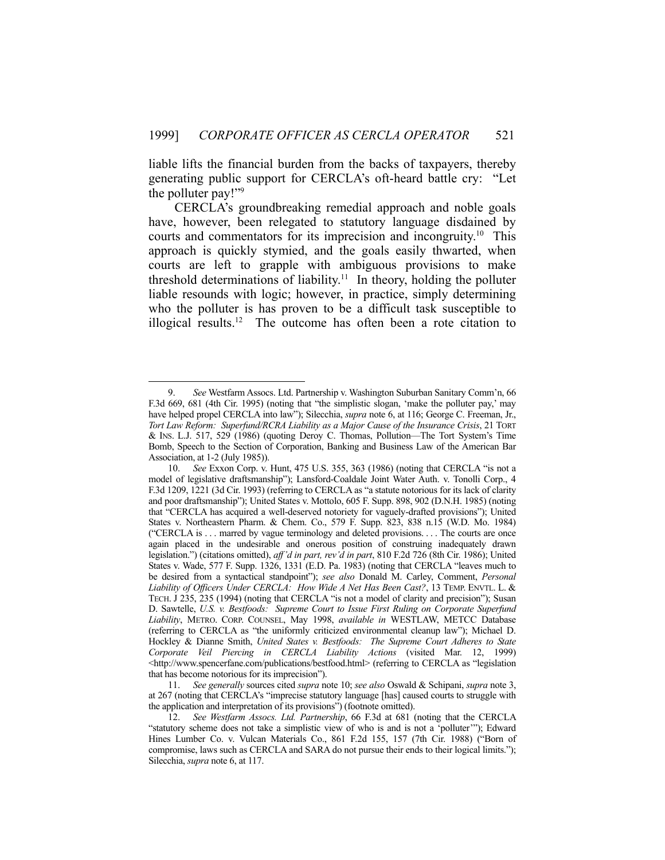liable lifts the financial burden from the backs of taxpayers, thereby generating public support for CERCLA's oft-heard battle cry: "Let the polluter pay!"9

 CERCLA's groundbreaking remedial approach and noble goals have, however, been relegated to statutory language disdained by courts and commentators for its imprecision and incongruity.10 This approach is quickly stymied, and the goals easily thwarted, when courts are left to grapple with ambiguous provisions to make threshold determinations of liability.<sup>11</sup> In theory, holding the polluter liable resounds with logic; however, in practice, simply determining who the polluter is has proven to be a difficult task susceptible to illogical results.12 The outcome has often been a rote citation to

 <sup>9.</sup> *See* Westfarm Assocs. Ltd. Partnership v. Washington Suburban Sanitary Comm'n, 66 F.3d 669, 681 (4th Cir. 1995) (noting that "the simplistic slogan, 'make the polluter pay,' may have helped propel CERCLA into law"); Silecchia, *supra* note 6, at 116; George C. Freeman, Jr., *Tort Law Reform: Superfund/RCRA Liability as a Major Cause of the Insurance Crisis*, 21 TORT & INS. L.J. 517, 529 (1986) (quoting Deroy C. Thomas, Pollution—The Tort System's Time Bomb, Speech to the Section of Corporation, Banking and Business Law of the American Bar Association, at 1-2 (July 1985)).

 <sup>10.</sup> *See* Exxon Corp. v. Hunt, 475 U.S. 355, 363 (1986) (noting that CERCLA "is not a model of legislative draftsmanship"); Lansford-Coaldale Joint Water Auth. v. Tonolli Corp., 4 F.3d 1209, 1221 (3d Cir. 1993) (referring to CERCLA as "a statute notorious for its lack of clarity and poor draftsmanship"); United States v. Mottolo, 605 F. Supp. 898, 902 (D.N.H. 1985) (noting that "CERCLA has acquired a well-deserved notoriety for vaguely-drafted provisions"); United States v. Northeastern Pharm. & Chem. Co., 579 F. Supp. 823, 838 n.15 (W.D. Mo. 1984) ("CERCLA is . . . marred by vague terminology and deleted provisions. . . . The courts are once again placed in the undesirable and onerous position of construing inadequately drawn legislation.") (citations omitted), *aff'd in part, rev'd in part*, 810 F.2d 726 (8th Cir. 1986); United States v. Wade, 577 F. Supp. 1326, 1331 (E.D. Pa. 1983) (noting that CERCLA "leaves much to be desired from a syntactical standpoint"); *see also* Donald M. Carley, Comment, *Personal Liability of Officers Under CERCLA: How Wide A Net Has Been Cast?*, 13 TEMP. ENVTL. L. & TECH. J 235, 235 (1994) (noting that CERCLA "is not a model of clarity and precision"); Susan D. Sawtelle, *U.S. v. Bestfoods: Supreme Court to Issue First Ruling on Corporate Superfund Liability*, METRO. CORP. COUNSEL, May 1998, *available in* WESTLAW, METCC Database (referring to CERCLA as "the uniformly criticized environmental cleanup law"); Michael D. Hockley & Dianne Smith, *United States v. Bestfoods: The Supreme Court Adheres to State Corporate Veil Piercing in CERCLA Liability Actions* (visited Mar. 12, 1999) <http://www.spencerfane.com/publications/bestfood.html> (referring to CERCLA as "legislation that has become notorious for its imprecision").

 <sup>11.</sup> *See generally* sources cited *supra* note 10; *see also* Oswald & Schipani, *supra* note 3, at 267 (noting that CERCLA's "imprecise statutory language [has] caused courts to struggle with the application and interpretation of its provisions") (footnote omitted).

 <sup>12.</sup> *See Westfarm Assocs. Ltd. Partnership*, 66 F.3d at 681 (noting that the CERCLA "statutory scheme does not take a simplistic view of who is and is not a 'polluter'"); Edward Hines Lumber Co. v. Vulcan Materials Co., 861 F.2d 155, 157 (7th Cir. 1988) ("Born of compromise, laws such as CERCLA and SARA do not pursue their ends to their logical limits."); Silecchia, *supra* note 6, at 117.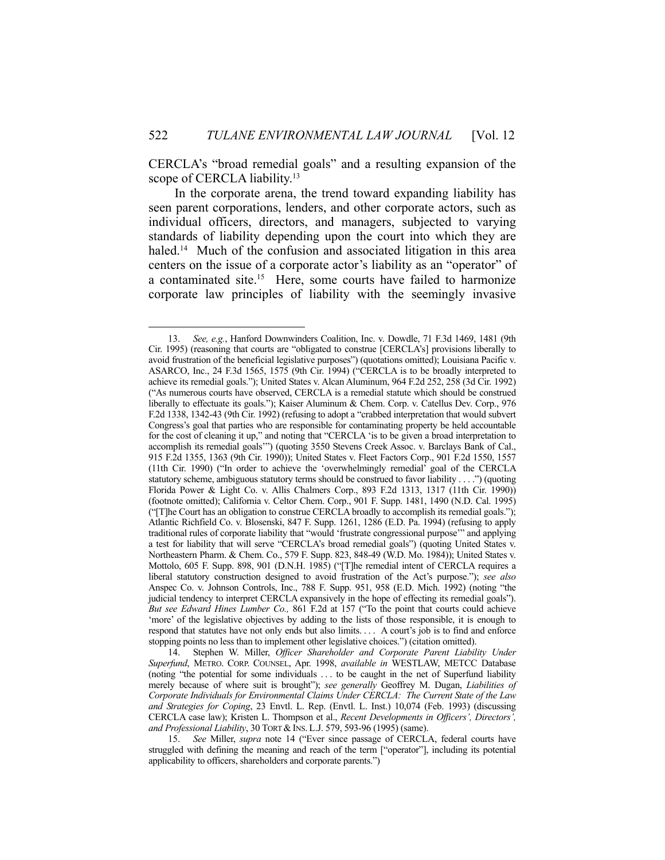CERCLA's "broad remedial goals" and a resulting expansion of the scope of CERCLA liability.<sup>13</sup>

 In the corporate arena, the trend toward expanding liability has seen parent corporations, lenders, and other corporate actors, such as individual officers, directors, and managers, subjected to varying standards of liability depending upon the court into which they are haled.<sup>14</sup> Much of the confusion and associated litigation in this area centers on the issue of a corporate actor's liability as an "operator" of a contaminated site.<sup>15</sup> Here, some courts have failed to harmonize corporate law principles of liability with the seemingly invasive

 <sup>13.</sup> *See, e.g.*, Hanford Downwinders Coalition, Inc. v. Dowdle, 71 F.3d 1469, 1481 (9th Cir. 1995) (reasoning that courts are "obligated to construe [CERCLA's] provisions liberally to avoid frustration of the beneficial legislative purposes") (quotations omitted); Louisiana Pacific v. ASARCO, Inc., 24 F.3d 1565, 1575 (9th Cir. 1994) ("CERCLA is to be broadly interpreted to achieve its remedial goals."); United States v. Alcan Aluminum, 964 F.2d 252, 258 (3d Cir. 1992) ("As numerous courts have observed, CERCLA is a remedial statute which should be construed liberally to effectuate its goals."); Kaiser Aluminum & Chem. Corp. v. Catellus Dev. Corp., 976 F.2d 1338, 1342-43 (9th Cir. 1992) (refusing to adopt a "crabbed interpretation that would subvert Congress's goal that parties who are responsible for contaminating property be held accountable for the cost of cleaning it up," and noting that "CERCLA 'is to be given a broad interpretation to accomplish its remedial goals'") (quoting 3550 Stevens Creek Assoc. v. Barclays Bank of Cal., 915 F.2d 1355, 1363 (9th Cir. 1990)); United States v. Fleet Factors Corp., 901 F.2d 1550, 1557 (11th Cir. 1990) ("In order to achieve the 'overwhelmingly remedial' goal of the CERCLA statutory scheme, ambiguous statutory terms should be construed to favor liability . . . .") (quoting Florida Power & Light Co. v. Allis Chalmers Corp., 893 F.2d 1313, 1317 (11th Cir. 1990)) (footnote omitted); California v. Celtor Chem. Corp., 901 F. Supp. 1481, 1490 (N.D. Cal. 1995) ("[T]he Court has an obligation to construe CERCLA broadly to accomplish its remedial goals."); Atlantic Richfield Co. v. Blosenski, 847 F. Supp. 1261, 1286 (E.D. Pa. 1994) (refusing to apply traditional rules of corporate liability that "would 'frustrate congressional purpose'" and applying a test for liability that will serve "CERCLA's broad remedial goals") (quoting United States v. Northeastern Pharm. & Chem. Co., 579 F. Supp. 823, 848-49 (W.D. Mo. 1984)); United States v. Mottolo, 605 F. Supp. 898, 901 (D.N.H. 1985) ("[T]he remedial intent of CERCLA requires a liberal statutory construction designed to avoid frustration of the Act's purpose."); *see also* Anspec Co. v. Johnson Controls, Inc., 788 F. Supp. 951, 958 (E.D. Mich. 1992) (noting "the judicial tendency to interpret CERCLA expansively in the hope of effecting its remedial goals"). *But see Edward Hines Lumber Co.,* 861 F.2d at 157 ("To the point that courts could achieve 'more' of the legislative objectives by adding to the lists of those responsible, it is enough to respond that statutes have not only ends but also limits. . . . A court's job is to find and enforce stopping points no less than to implement other legislative choices.") (citation omitted).

 <sup>14.</sup> Stephen W. Miller, *Officer Shareholder and Corporate Parent Liability Under Superfund*, METRO. CORP. COUNSEL, Apr. 1998, *available in* WESTLAW, METCC Database (noting "the potential for some individuals . . . to be caught in the net of Superfund liability merely because of where suit is brought"); *see generally* Geoffrey M. Dugan, *Liabilities of Corporate Individuals for Environmental Claims Under CERCLA: The Current State of the Law and Strategies for Coping*, 23 Envtl. L. Rep. (Envtl. L. Inst.) 10,074 (Feb. 1993) (discussing CERCLA case law); Kristen L. Thompson et al., *Recent Developments in Officers', Directors', and Professional Liability*, 30 TORT & INS. L.J. 579, 593-96 (1995) (same).

 <sup>15.</sup> *See* Miller, *supra* note 14 ("Ever since passage of CERCLA, federal courts have struggled with defining the meaning and reach of the term ["operator"], including its potential applicability to officers, shareholders and corporate parents.")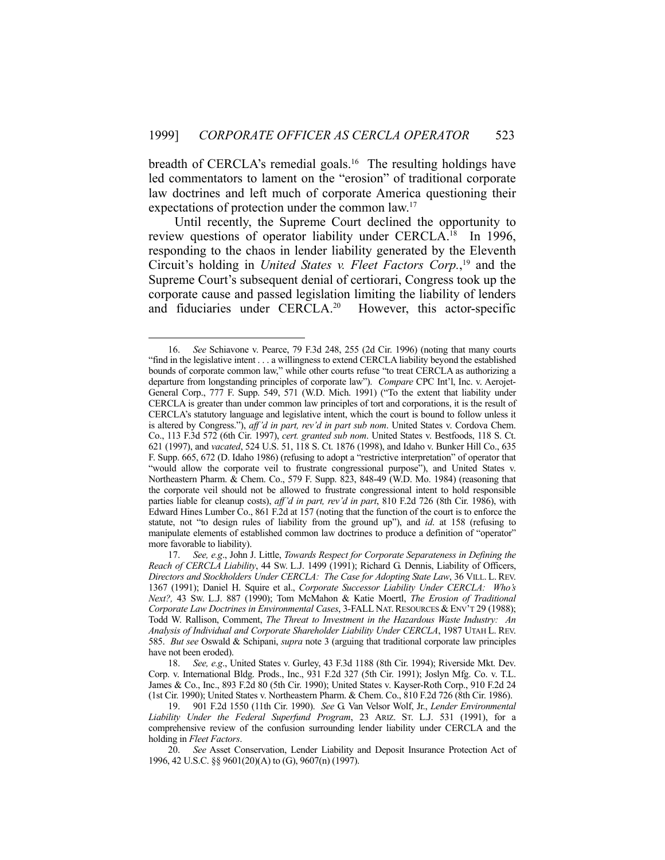breadth of CERCLA's remedial goals.<sup>16</sup> The resulting holdings have led commentators to lament on the "erosion" of traditional corporate law doctrines and left much of corporate America questioning their expectations of protection under the common law.<sup>17</sup>

 Until recently, the Supreme Court declined the opportunity to review questions of operator liability under CERCLA.<sup>18</sup> In 1996, responding to the chaos in lender liability generated by the Eleventh Circuit's holding in *United States v. Fleet Factors Corp.*, 19 and the Supreme Court's subsequent denial of certiorari, Congress took up the corporate cause and passed legislation limiting the liability of lenders and fiduciaries under CERCLA.<sup>20</sup> However, this actor-specific

<u>.</u>

 <sup>16.</sup> *See* Schiavone v. Pearce, 79 F.3d 248, 255 (2d Cir. 1996) (noting that many courts "find in the legislative intent . . . a willingness to extend CERCLA liability beyond the established bounds of corporate common law," while other courts refuse "to treat CERCLA as authorizing a departure from longstanding principles of corporate law"). *Compare* CPC Int'l, Inc. v. Aerojet-General Corp., 777 F. Supp. 549, 571 (W.D. Mich. 1991) ("To the extent that liability under CERCLA is greater than under common law principles of tort and corporations, it is the result of CERCLA's statutory language and legislative intent, which the court is bound to follow unless it is altered by Congress."), *aff'd in part, rev'd in part sub nom*. United States v. Cordova Chem. Co., 113 F.3d 572 (6th Cir. 1997), *cert. granted sub nom*. United States v. Bestfoods, 118 S. Ct. 621 (1997), and *vacated*, 524 U.S. 51, 118 S. Ct. 1876 (1998), and Idaho v. Bunker Hill Co., 635 F. Supp. 665, 672 (D. Idaho 1986) (refusing to adopt a "restrictive interpretation" of operator that "would allow the corporate veil to frustrate congressional purpose"), and United States v. Northeastern Pharm. & Chem. Co., 579 F. Supp. 823, 848-49 (W.D. Mo. 1984) (reasoning that the corporate veil should not be allowed to frustrate congressional intent to hold responsible parties liable for cleanup costs), *aff'd in part, rev'd in part*, 810 F.2d 726 (8th Cir. 1986), with Edward Hines Lumber Co., 861 F.2d at 157 (noting that the function of the court is to enforce the statute, not "to design rules of liability from the ground up"), and *id*. at 158 (refusing to manipulate elements of established common law doctrines to produce a definition of "operator" more favorable to liability).

 <sup>17.</sup> *See, e.g*., John J. Little, *Towards Respect for Corporate Separateness in Defining the Reach of CERCLA Liability*, 44 SW. L.J. 1499 (1991); Richard G. Dennis, Liability of Officers, *Directors and Stockholders Under CERCLA: The Case for Adopting State Law*, 36 VILL. L. REV. 1367 (1991); Daniel H. Squire et al., *Corporate Successor Liability Under CERCLA: Who's Next?,* 43 SW. L.J. 887 (1990); Tom McMahon & Katie Moertl, *The Erosion of Traditional Corporate Law Doctrines in Environmental Cases*, 3-FALL NAT. RESOURCES & ENV'T 29 (1988); Todd W. Rallison, Comment, *The Threat to Investment in the Hazardous Waste Industry: An Analysis of Individual and Corporate Shareholder Liability Under CERCLA*, 1987 UTAH L. REV. 585. *But see* Oswald & Schipani, *supra* note 3 (arguing that traditional corporate law principles have not been eroded).

 <sup>18.</sup> *See, e.g*., United States v. Gurley, 43 F.3d 1188 (8th Cir. 1994); Riverside Mkt. Dev. Corp. v. International Bldg. Prods., Inc., 931 F.2d 327 (5th Cir. 1991); Joslyn Mfg. Co. v. T.L. James & Co., Inc., 893 F.2d 80 (5th Cir. 1990); United States v. Kayser-Roth Corp., 910 F.2d 24 (1st Cir. 1990); United States v. Northeastern Pharm. & Chem. Co., 810 F.2d 726 (8th Cir. 1986).

 <sup>19. 901</sup> F.2d 1550 (11th Cir. 1990). *See* G. Van Velsor Wolf, Jr., *Lender Environmental Liability Under the Federal Superfund Program*, 23 ARIZ. ST. L.J. 531 (1991), for a comprehensive review of the confusion surrounding lender liability under CERCLA and the holding in *Fleet Factors*.

 <sup>20.</sup> *See* Asset Conservation, Lender Liability and Deposit Insurance Protection Act of 1996, 42 U.S.C. §§ 9601(20)(A) to (G), 9607(n) (1997).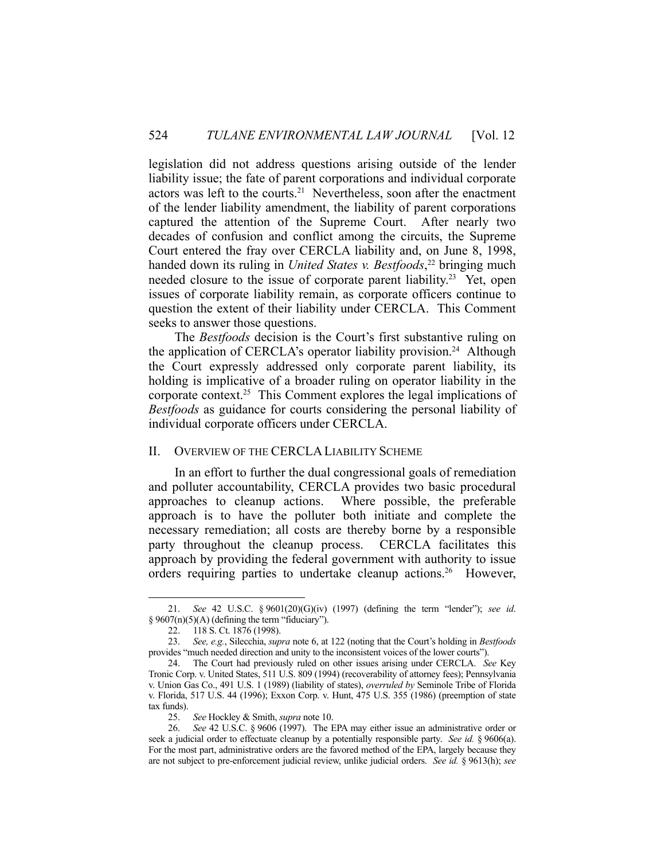legislation did not address questions arising outside of the lender liability issue; the fate of parent corporations and individual corporate actors was left to the courts.21 Nevertheless, soon after the enactment of the lender liability amendment, the liability of parent corporations captured the attention of the Supreme Court. After nearly two decades of confusion and conflict among the circuits, the Supreme Court entered the fray over CERCLA liability and, on June 8, 1998, handed down its ruling in *United States v. Bestfoods*, 22 bringing much needed closure to the issue of corporate parent liability.<sup>23</sup> Yet, open issues of corporate liability remain, as corporate officers continue to question the extent of their liability under CERCLA. This Comment seeks to answer those questions.

 The *Bestfoods* decision is the Court's first substantive ruling on the application of CERCLA's operator liability provision.<sup>24</sup> Although the Court expressly addressed only corporate parent liability, its holding is implicative of a broader ruling on operator liability in the corporate context.25 This Comment explores the legal implications of *Bestfoods* as guidance for courts considering the personal liability of individual corporate officers under CERCLA.

## II. OVERVIEW OF THE CERCLALIABILITY SCHEME

 In an effort to further the dual congressional goals of remediation and polluter accountability, CERCLA provides two basic procedural approaches to cleanup actions. Where possible, the preferable approach is to have the polluter both initiate and complete the necessary remediation; all costs are thereby borne by a responsible party throughout the cleanup process. CERCLA facilitates this approach by providing the federal government with authority to issue orders requiring parties to undertake cleanup actions.<sup>26</sup> However,

 <sup>21.</sup> *See* 42 U.S.C. § 9601(20)(G)(iv) (1997) (defining the term "lender"); *see id*. § 9607(n)(5)(A) (defining the term "fiduciary").

 <sup>22. 118</sup> S. Ct. 1876 (1998).

 <sup>23.</sup> *See, e.g.*, Silecchia, *supra* note 6, at 122 (noting that the Court's holding in *Bestfoods* provides "much needed direction and unity to the inconsistent voices of the lower courts").

 <sup>24.</sup> The Court had previously ruled on other issues arising under CERCLA. *See* Key Tronic Corp. v. United States, 511 U.S. 809 (1994) (recoverability of attorney fees); Pennsylvania v. Union Gas Co., 491 U.S. 1 (1989) (liability of states), *overruled by* Seminole Tribe of Florida v. Florida, 517 U.S. 44 (1996); Exxon Corp. v. Hunt, 475 U.S. 355 (1986) (preemption of state tax funds).

 <sup>25.</sup> *See* Hockley & Smith, *supra* note 10.

 <sup>26.</sup> *See* 42 U.S.C. § 9606 (1997). The EPA may either issue an administrative order or seek a judicial order to effectuate cleanup by a potentially responsible party. *See id.* § 9606(a). For the most part, administrative orders are the favored method of the EPA, largely because they are not subject to pre-enforcement judicial review, unlike judicial orders. *See id.* § 9613(h); *see*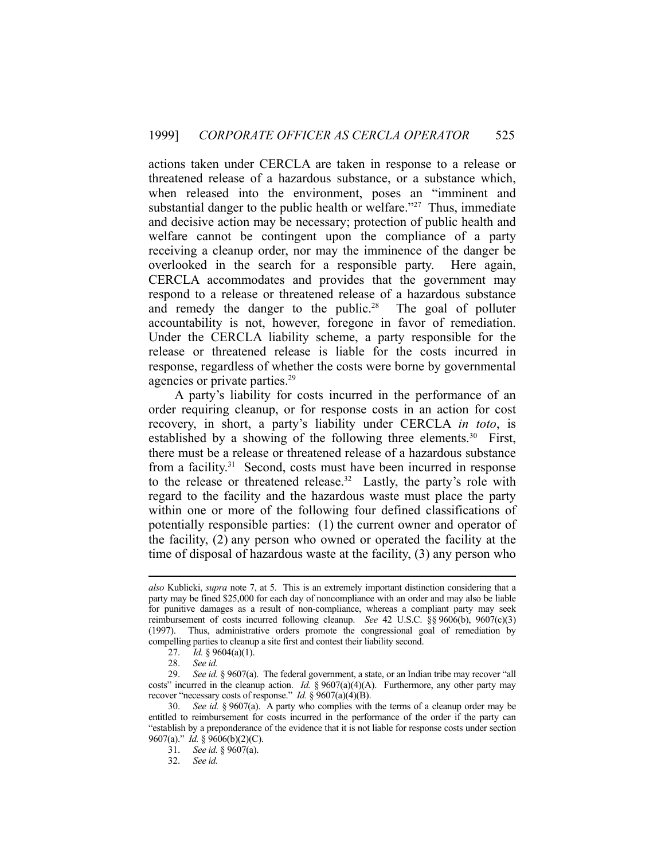actions taken under CERCLA are taken in response to a release or threatened release of a hazardous substance, or a substance which, when released into the environment, poses an "imminent and substantial danger to the public health or welfare.<sup> $27$ </sup> Thus, immediate and decisive action may be necessary; protection of public health and welfare cannot be contingent upon the compliance of a party receiving a cleanup order, nor may the imminence of the danger be overlooked in the search for a responsible party. Here again, CERCLA accommodates and provides that the government may respond to a release or threatened release of a hazardous substance and remedy the danger to the public.<sup>28</sup> The goal of polluter accountability is not, however, foregone in favor of remediation. Under the CERCLA liability scheme, a party responsible for the release or threatened release is liable for the costs incurred in response, regardless of whether the costs were borne by governmental agencies or private parties.<sup>29</sup>

 A party's liability for costs incurred in the performance of an order requiring cleanup, or for response costs in an action for cost recovery, in short, a party's liability under CERCLA *in toto*, is established by a showing of the following three elements.<sup>30</sup> First, there must be a release or threatened release of a hazardous substance from a facility.<sup>31</sup> Second, costs must have been incurred in response to the release or threatened release.32 Lastly, the party's role with regard to the facility and the hazardous waste must place the party within one or more of the following four defined classifications of potentially responsible parties: (1) the current owner and operator of the facility, (2) any person who owned or operated the facility at the time of disposal of hazardous waste at the facility, (3) any person who

*also* Kublicki, *supra* note 7, at 5. This is an extremely important distinction considering that a party may be fined \$25,000 for each day of noncompliance with an order and may also be liable for punitive damages as a result of non-compliance, whereas a compliant party may seek reimbursement of costs incurred following cleanup. *See* 42 U.S.C. §§ 9606(b), 9607(c)(3) (1997). Thus, administrative orders promote the congressional goal of remediation by compelling parties to cleanup a site first and contest their liability second.

 <sup>27.</sup> *Id.* § 9604(a)(1).

 <sup>28.</sup> *See id.*

 <sup>29.</sup> *See id.* § 9607(a). The federal government, a state, or an Indian tribe may recover "all costs" incurred in the cleanup action. *Id.* § 9607(a)(4)(A). Furthermore, any other party may recover "necessary costs of response." *Id.* § 9607(a)(4)(B).

 <sup>30.</sup> *See id.* § 9607(a). A party who complies with the terms of a cleanup order may be entitled to reimbursement for costs incurred in the performance of the order if the party can "establish by a preponderance of the evidence that it is not liable for response costs under section 9607(a)." *Id.* § 9606(b)(2)(C).

 <sup>31.</sup> *See id.* § 9607(a).

 <sup>32.</sup> *See id.*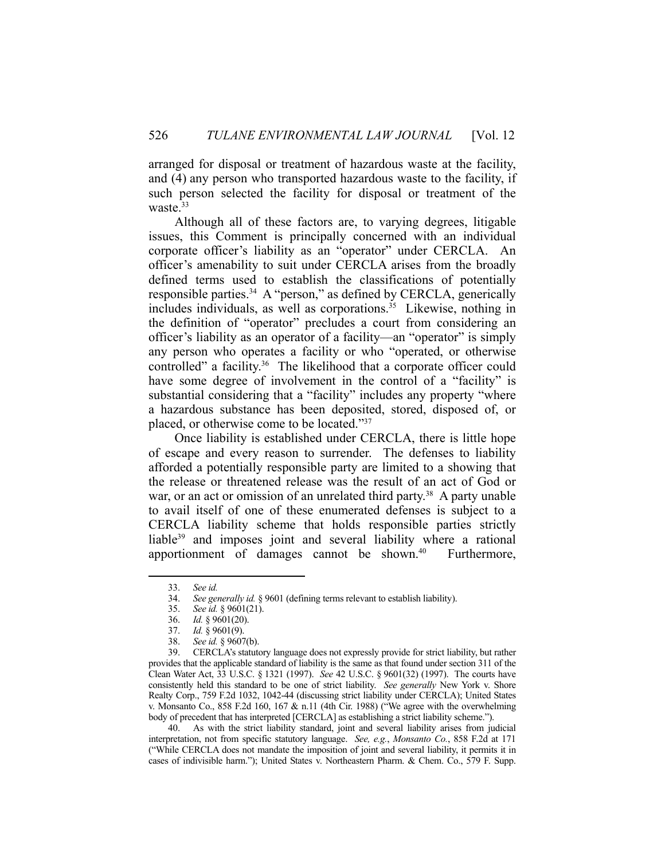arranged for disposal or treatment of hazardous waste at the facility, and (4) any person who transported hazardous waste to the facility, if such person selected the facility for disposal or treatment of the waste. $33$ 

 Although all of these factors are, to varying degrees, litigable issues, this Comment is principally concerned with an individual corporate officer's liability as an "operator" under CERCLA. An officer's amenability to suit under CERCLA arises from the broadly defined terms used to establish the classifications of potentially responsible parties.34 A "person," as defined by CERCLA, generically includes individuals, as well as corporations.<sup>35</sup> Likewise, nothing in the definition of "operator" precludes a court from considering an officer's liability as an operator of a facility—an "operator" is simply any person who operates a facility or who "operated, or otherwise controlled" a facility.<sup>36</sup> The likelihood that a corporate officer could have some degree of involvement in the control of a "facility" is substantial considering that a "facility" includes any property "where a hazardous substance has been deposited, stored, disposed of, or placed, or otherwise come to be located."37

 Once liability is established under CERCLA, there is little hope of escape and every reason to surrender. The defenses to liability afforded a potentially responsible party are limited to a showing that the release or threatened release was the result of an act of God or war, or an act or omission of an unrelated third party.<sup>38</sup> A party unable to avail itself of one of these enumerated defenses is subject to a CERCLA liability scheme that holds responsible parties strictly liable<sup>39</sup> and imposes joint and several liability where a rational apportionment of damages cannot be shown.<sup>40</sup> Furthermore,

1

 39. CERCLA's statutory language does not expressly provide for strict liability, but rather provides that the applicable standard of liability is the same as that found under section 311 of the Clean Water Act, 33 U.S.C. § 1321 (1997). *See* 42 U.S.C. § 9601(32) (1997). The courts have consistently held this standard to be one of strict liability. *See generally* New York v. Shore Realty Corp., 759 F.2d 1032, 1042-44 (discussing strict liability under CERCLA); United States v. Monsanto Co., 858 F.2d 160, 167 & n.11 (4th Cir. 1988) ("We agree with the overwhelming body of precedent that has interpreted [CERCLA] as establishing a strict liability scheme.").

 40. As with the strict liability standard, joint and several liability arises from judicial interpretation, not from specific statutory language. *See, e.g.*, *Monsanto Co.*, 858 F.2d at 171 ("While CERCLA does not mandate the imposition of joint and several liability, it permits it in cases of indivisible harm."); United States v. Northeastern Pharm. & Chem. Co., 579 F. Supp.

 <sup>33.</sup> *See id.*

 <sup>34.</sup> *See generally id.* § 9601 (defining terms relevant to establish liability).

 <sup>35.</sup> *See id.* § 9601(21).

 <sup>36.</sup> *Id.* § 9601(20).

 <sup>37.</sup> *Id.* § 9601(9).

 <sup>38.</sup> *See id.* § 9607(b).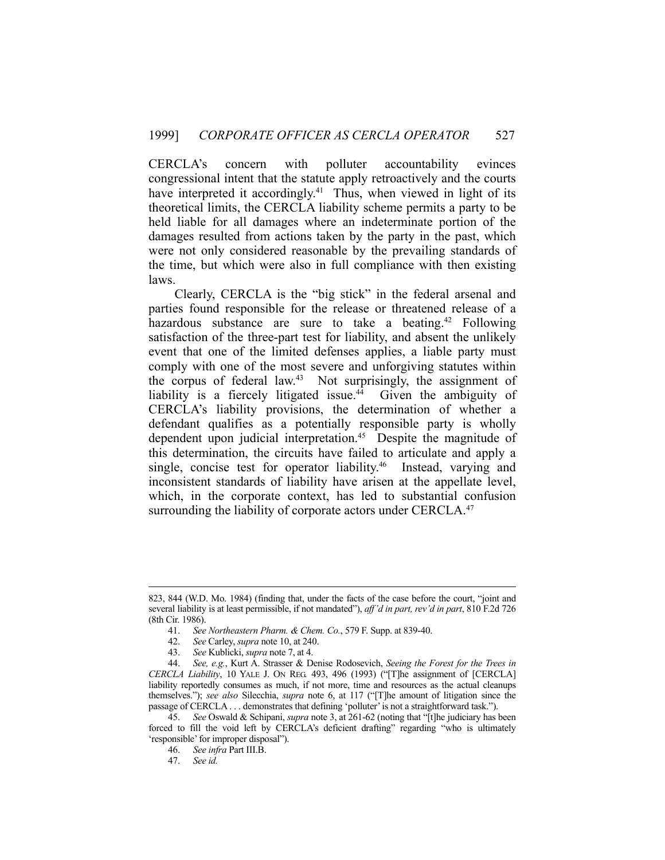CERCLA's concern with polluter accountability evinces congressional intent that the statute apply retroactively and the courts have interpreted it accordingly.<sup>41</sup> Thus, when viewed in light of its theoretical limits, the CERCLA liability scheme permits a party to be held liable for all damages where an indeterminate portion of the damages resulted from actions taken by the party in the past, which were not only considered reasonable by the prevailing standards of the time, but which were also in full compliance with then existing laws.

 Clearly, CERCLA is the "big stick" in the federal arsenal and parties found responsible for the release or threatened release of a hazardous substance are sure to take a beating.<sup>42</sup> Following satisfaction of the three-part test for liability, and absent the unlikely event that one of the limited defenses applies, a liable party must comply with one of the most severe and unforgiving statutes within the corpus of federal law.<sup>43</sup> Not surprisingly, the assignment of liability is a fiercely litigated issue.<sup>44</sup> Given the ambiguity of CERCLA's liability provisions, the determination of whether a defendant qualifies as a potentially responsible party is wholly dependent upon judicial interpretation.<sup>45</sup> Despite the magnitude of this determination, the circuits have failed to articulate and apply a single, concise test for operator liability.<sup>46</sup> Instead, varying and inconsistent standards of liability have arisen at the appellate level, which, in the corporate context, has led to substantial confusion surrounding the liability of corporate actors under CERCLA.<sup>47</sup>

 <sup>823, 844 (</sup>W.D. Mo. 1984) (finding that, under the facts of the case before the court, "joint and several liability is at least permissible, if not mandated"), *aff'd in part, rev'd in part*, 810 F.2d 726 (8th Cir. 1986).

 <sup>41.</sup> *See Northeastern Pharm. & Chem. Co.*, 579 F. Supp. at 839-40.

 <sup>42.</sup> *See* Carley, *supra* note 10, at 240.

 <sup>43.</sup> *See* Kublicki, *supra* note 7, at 4.

 <sup>44.</sup> *See, e.g.*, Kurt A. Strasser & Denise Rodosevich, *Seeing the Forest for the Trees in CERCLA Liability*, 10 YALE J. ON REG. 493, 496 (1993) ("[T]he assignment of [CERCLA] liability reportedly consumes as much, if not more, time and resources as the actual cleanups themselves."); *see also* Silecchia, *supra* note 6, at 117 ("[T]he amount of litigation since the passage of CERCLA . . . demonstrates that defining 'polluter' is not a straightforward task.").

 <sup>45.</sup> *See* Oswald & Schipani, *supra* note 3, at 261-62 (noting that "[t]he judiciary has been forced to fill the void left by CERCLA's deficient drafting" regarding "who is ultimately 'responsible' for improper disposal").

 <sup>46.</sup> *See infra* Part III.B.

 <sup>47.</sup> *See id.*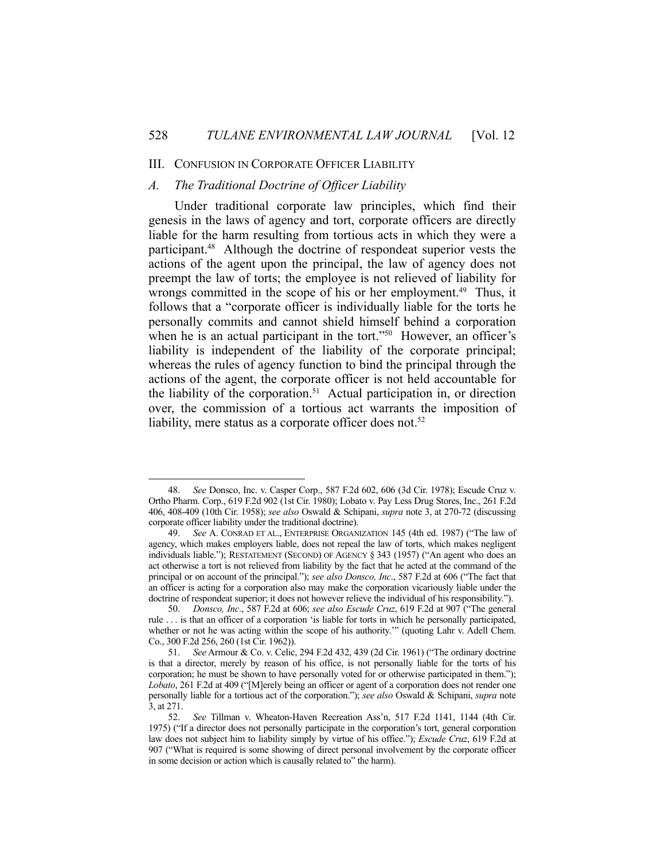#### III. CONFUSION IN CORPORATE OFFICER LIABILITY

## *A. The Traditional Doctrine of Officer Liability*

1

 Under traditional corporate law principles, which find their genesis in the laws of agency and tort, corporate officers are directly liable for the harm resulting from tortious acts in which they were a participant.48 Although the doctrine of respondeat superior vests the actions of the agent upon the principal, the law of agency does not preempt the law of torts; the employee is not relieved of liability for wrongs committed in the scope of his or her employment.<sup>49</sup> Thus, it follows that a "corporate officer is individually liable for the torts he personally commits and cannot shield himself behind a corporation when he is an actual participant in the tort."<sup>50</sup> However, an officer's liability is independent of the liability of the corporate principal; whereas the rules of agency function to bind the principal through the actions of the agent, the corporate officer is not held accountable for the liability of the corporation.<sup>51</sup> Actual participation in, or direction over, the commission of a tortious act warrants the imposition of liability, mere status as a corporate officer does not.<sup>52</sup>

 <sup>48.</sup> *See* Donsco, Inc. v. Casper Corp., 587 F.2d 602, 606 (3d Cir. 1978); Escude Cruz v. Ortho Pharm. Corp., 619 F.2d 902 (1st Cir. 1980); Lobato v. Pay Less Drug Stores, Inc., 261 F.2d 406, 408-409 (10th Cir. 1958); *see also* Oswald & Schipani, *supra* note 3, at 270-72 (discussing corporate officer liability under the traditional doctrine).

 <sup>49.</sup> *See* A. CONRAD ET AL., ENTERPRISE ORGANIZATION 145 (4th ed. 1987) ("The law of agency, which makes employers liable, does not repeal the law of torts, which makes negligent individuals liable."); RESTATEMENT (SECOND) OF AGENCY § 343 (1957) ("An agent who does an act otherwise a tort is not relieved from liability by the fact that he acted at the command of the principal or on account of the principal."); *see also Donsco, Inc*., 587 F.2d at 606 ("The fact that an officer is acting for a corporation also may make the corporation vicariously liable under the doctrine of respondeat superior; it does not however relieve the individual of his responsibility.").

 <sup>50.</sup> *Donsco, Inc*., 587 F.2d at 606; *see also Escude Cruz*, 619 F.2d at 907 ("The general rule . . . is that an officer of a corporation 'is liable for torts in which he personally participated, whether or not he was acting within the scope of his authority.'" (quoting Lahr v. Adell Chem. Co., 300 F.2d 256, 260 (1st Cir. 1962)).

 <sup>51.</sup> *See* Armour & Co. v. Celic, 294 F.2d 432, 439 (2d Cir. 1961) ("The ordinary doctrine is that a director, merely by reason of his office, is not personally liable for the torts of his corporation; he must be shown to have personally voted for or otherwise participated in them."); *Lobato*, 261 F.2d at 409 ("[M]erely being an officer or agent of a corporation does not render one personally liable for a tortious act of the corporation."); *see also* Oswald & Schipani, *supra* note 3, at 271.

 <sup>52.</sup> *See* Tillman v. Wheaton-Haven Recreation Ass'n, 517 F.2d 1141, 1144 (4th Cir. 1975) ("If a director does not personally participate in the corporation's tort, general corporation law does not subject him to liability simply by virtue of his office."); *Escude Cruz*, 619 F.2d at 907 ("What is required is some showing of direct personal involvement by the corporate officer in some decision or action which is causally related to" the harm).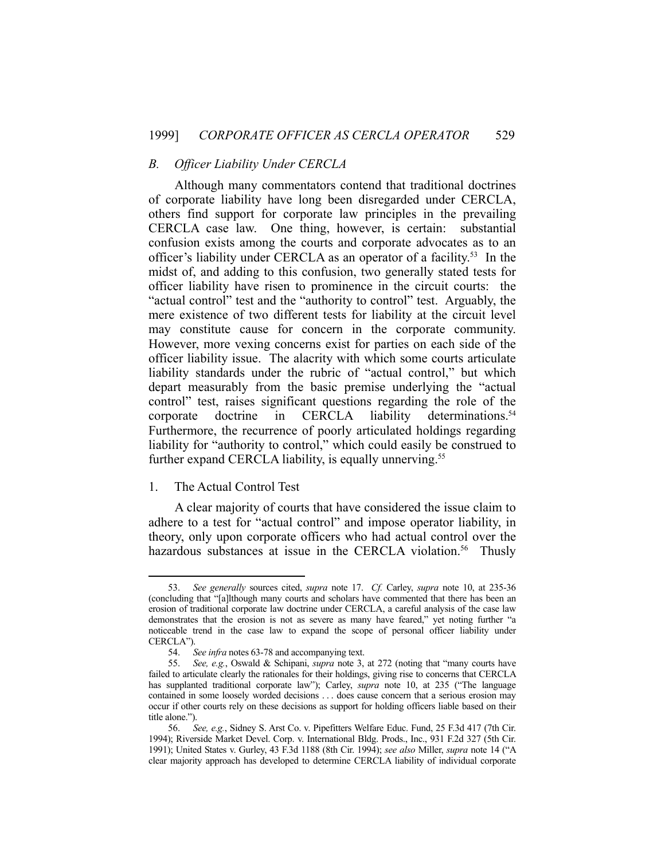#### *B. Officer Liability Under CERCLA*

 Although many commentators contend that traditional doctrines of corporate liability have long been disregarded under CERCLA, others find support for corporate law principles in the prevailing CERCLA case law. One thing, however, is certain: substantial confusion exists among the courts and corporate advocates as to an officer's liability under CERCLA as an operator of a facility.53 In the midst of, and adding to this confusion, two generally stated tests for officer liability have risen to prominence in the circuit courts: the "actual control" test and the "authority to control" test. Arguably, the mere existence of two different tests for liability at the circuit level may constitute cause for concern in the corporate community. However, more vexing concerns exist for parties on each side of the officer liability issue. The alacrity with which some courts articulate liability standards under the rubric of "actual control," but which depart measurably from the basic premise underlying the "actual control" test, raises significant questions regarding the role of the corporate doctrine in CERCLA liability determinations.<sup>54</sup> Furthermore, the recurrence of poorly articulated holdings regarding liability for "authority to control," which could easily be construed to further expand CERCLA liability, is equally unnerving.<sup>55</sup>

#### 1. The Actual Control Test

1

 A clear majority of courts that have considered the issue claim to adhere to a test for "actual control" and impose operator liability, in theory, only upon corporate officers who had actual control over the hazardous substances at issue in the CERCLA violation.<sup>56</sup> Thusly

 <sup>53.</sup> *See generally* sources cited, *supra* note 17. *Cf.* Carley, *supra* note 10, at 235-36 (concluding that "[a]lthough many courts and scholars have commented that there has been an erosion of traditional corporate law doctrine under CERCLA, a careful analysis of the case law demonstrates that the erosion is not as severe as many have feared," yet noting further "a noticeable trend in the case law to expand the scope of personal officer liability under CERCLA").

 <sup>54.</sup> *See infra* notes 63-78 and accompanying text.

 <sup>55.</sup> *See, e.g.*, Oswald & Schipani, *supra* note 3, at 272 (noting that "many courts have failed to articulate clearly the rationales for their holdings, giving rise to concerns that CERCLA has supplanted traditional corporate law"); Carley, *supra* note 10, at 235 ("The language contained in some loosely worded decisions . . . does cause concern that a serious erosion may occur if other courts rely on these decisions as support for holding officers liable based on their title alone.").

 <sup>56.</sup> *See, e.g.*, Sidney S. Arst Co. v. Pipefitters Welfare Educ. Fund, 25 F.3d 417 (7th Cir. 1994); Riverside Market Devel. Corp. v. International Bldg. Prods., Inc., 931 F.2d 327 (5th Cir. 1991); United States v. Gurley, 43 F.3d 1188 (8th Cir. 1994); *see also* Miller, *supra* note 14 ("A clear majority approach has developed to determine CERCLA liability of individual corporate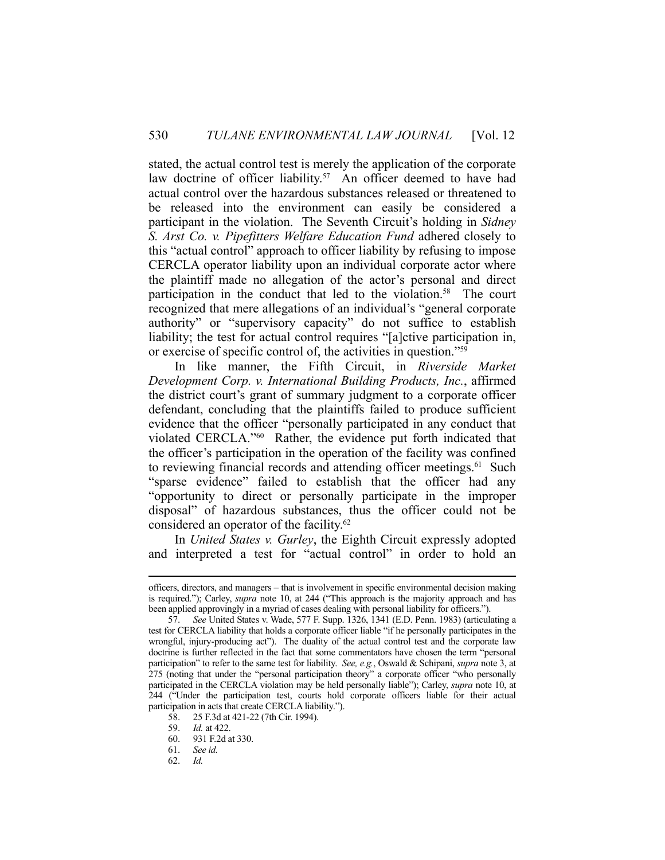stated, the actual control test is merely the application of the corporate law doctrine of officer liability.<sup>57</sup> An officer deemed to have had actual control over the hazardous substances released or threatened to be released into the environment can easily be considered a participant in the violation. The Seventh Circuit's holding in *Sidney S. Arst Co. v. Pipefitters Welfare Education Fund* adhered closely to this "actual control" approach to officer liability by refusing to impose CERCLA operator liability upon an individual corporate actor where the plaintiff made no allegation of the actor's personal and direct participation in the conduct that led to the violation.<sup>58</sup> The court recognized that mere allegations of an individual's "general corporate authority" or "supervisory capacity" do not suffice to establish liability; the test for actual control requires "[a]ctive participation in, or exercise of specific control of, the activities in question."59

 In like manner, the Fifth Circuit, in *Riverside Market Development Corp. v. International Building Products, Inc.*, affirmed the district court's grant of summary judgment to a corporate officer defendant, concluding that the plaintiffs failed to produce sufficient evidence that the officer "personally participated in any conduct that violated CERCLA."60 Rather, the evidence put forth indicated that the officer's participation in the operation of the facility was confined to reviewing financial records and attending officer meetings.<sup>61</sup> Such "sparse evidence" failed to establish that the officer had any "opportunity to direct or personally participate in the improper disposal" of hazardous substances, thus the officer could not be considered an operator of the facility.<sup>62</sup>

 In *United States v. Gurley*, the Eighth Circuit expressly adopted and interpreted a test for "actual control" in order to hold an

officers, directors, and managers – that is involvement in specific environmental decision making is required."); Carley, *supra* note 10, at 244 ("This approach is the majority approach and has been applied approvingly in a myriad of cases dealing with personal liability for officers.").

 <sup>57.</sup> *See* United States v. Wade, 577 F. Supp. 1326, 1341 (E.D. Penn. 1983) (articulating a test for CERCLA liability that holds a corporate officer liable "if he personally participates in the wrongful, injury-producing act"). The duality of the actual control test and the corporate law doctrine is further reflected in the fact that some commentators have chosen the term "personal participation" to refer to the same test for liability. *See, e.g.*, Oswald & Schipani, *supra* note 3, at 275 (noting that under the "personal participation theory" a corporate officer "who personally participated in the CERCLA violation may be held personally liable"); Carley, *supra* note 10, at 244 ("Under the participation test, courts hold corporate officers liable for their actual participation in acts that create CERCLA liability.").

<sup>58. 25</sup> F.3d at 421-22 (7th Cir. 1994).<br>59. Id. at 422.

*Id.* at 422.

 <sup>60. 931</sup> F.2d at 330.

 <sup>61.</sup> *See id.*

 <sup>62.</sup> *Id.*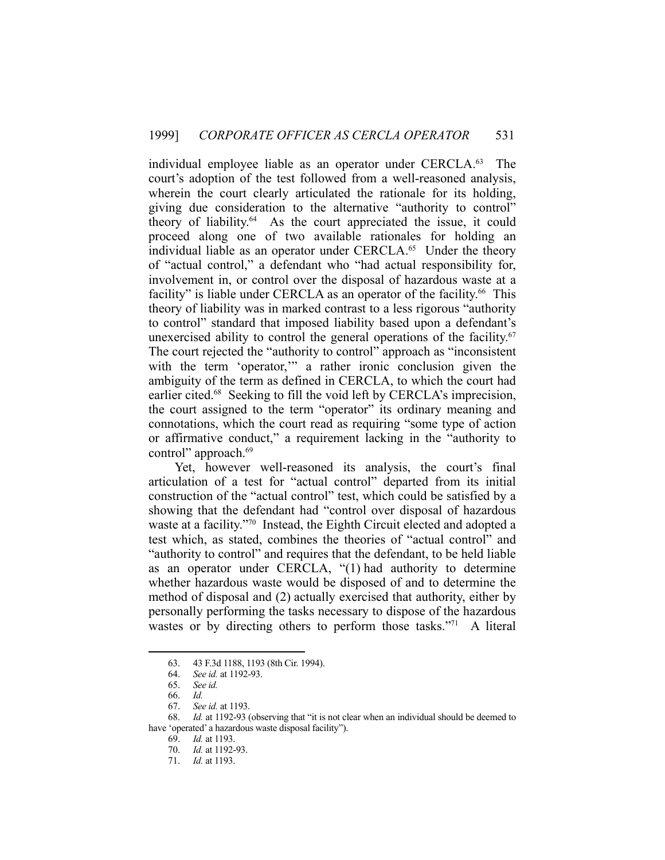individual employee liable as an operator under CERCLA.<sup>63</sup> The court's adoption of the test followed from a well-reasoned analysis, wherein the court clearly articulated the rationale for its holding, giving due consideration to the alternative "authority to control" theory of liability.64 As the court appreciated the issue, it could proceed along one of two available rationales for holding an individual liable as an operator under CERCLA.<sup>65</sup> Under the theory of "actual control," a defendant who "had actual responsibility for, involvement in, or control over the disposal of hazardous waste at a facility" is liable under CERCLA as an operator of the facility.<sup>66</sup> This theory of liability was in marked contrast to a less rigorous "authority to control" standard that imposed liability based upon a defendant's unexercised ability to control the general operations of the facility.<sup>67</sup> The court rejected the "authority to control" approach as "inconsistent with the term 'operator,'" a rather ironic conclusion given the ambiguity of the term as defined in CERCLA, to which the court had earlier cited.<sup>68</sup> Seeking to fill the void left by CERCLA's imprecision, the court assigned to the term "operator" its ordinary meaning and connotations, which the court read as requiring "some type of action or affirmative conduct," a requirement lacking in the "authority to control" approach.69

 Yet, however well-reasoned its analysis, the court's final articulation of a test for "actual control" departed from its initial construction of the "actual control" test, which could be satisfied by a showing that the defendant had "control over disposal of hazardous waste at a facility."70 Instead, the Eighth Circuit elected and adopted a test which, as stated, combines the theories of "actual control" and "authority to control" and requires that the defendant, to be held liable as an operator under CERCLA, "(1) had authority to determine whether hazardous waste would be disposed of and to determine the method of disposal and (2) actually exercised that authority, either by personally performing the tasks necessary to dispose of the hazardous wastes or by directing others to perform those tasks."71 A literal

 <sup>63. 43</sup> F.3d 1188, 1193 (8th Cir. 1994).

 <sup>64.</sup> *See id.* at 1192-93.

 <sup>65.</sup> *See id.*

 <sup>66.</sup> *Id.* 

 <sup>67.</sup> *See id.* at 1193.

 <sup>68.</sup> *Id.* at 1192-93 (observing that "it is not clear when an individual should be deemed to have 'operated' a hazardous waste disposal facility").

 <sup>69.</sup> *Id.* at 1193.

 <sup>70.</sup> *Id.* at 1192-93.

 <sup>71.</sup> *Id.* at 1193.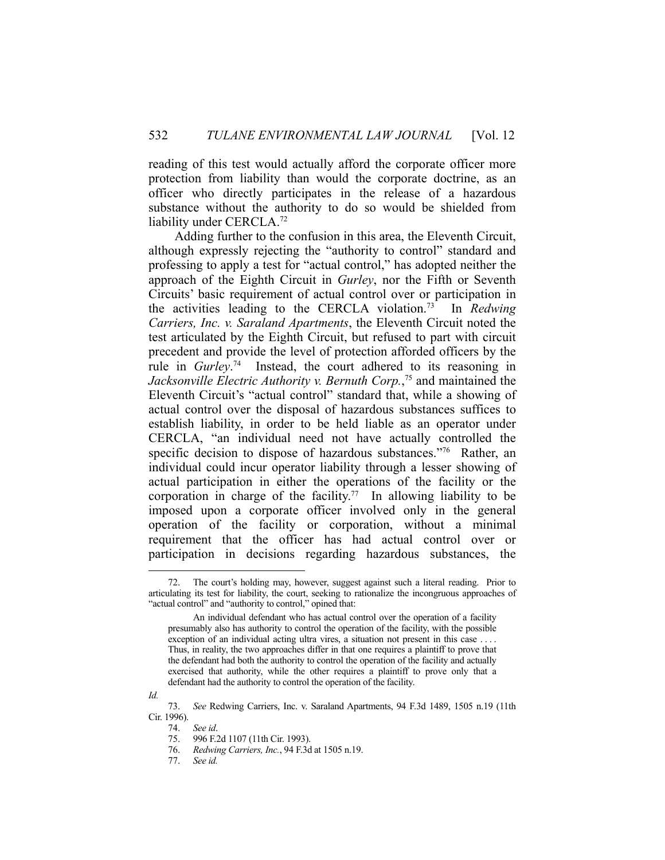reading of this test would actually afford the corporate officer more protection from liability than would the corporate doctrine, as an officer who directly participates in the release of a hazardous substance without the authority to do so would be shielded from liability under CERCLA.72

 Adding further to the confusion in this area, the Eleventh Circuit, although expressly rejecting the "authority to control" standard and professing to apply a test for "actual control," has adopted neither the approach of the Eighth Circuit in *Gurley*, nor the Fifth or Seventh Circuits' basic requirement of actual control over or participation in the activities leading to the CERCLA violation.73 In *Redwing Carriers, Inc. v. Saraland Apartments*, the Eleventh Circuit noted the test articulated by the Eighth Circuit, but refused to part with circuit precedent and provide the level of protection afforded officers by the rule in *Gurley*. 74 Instead, the court adhered to its reasoning in *Jacksonville Electric Authority v. Bernuth Corp.*, 75 and maintained the Eleventh Circuit's "actual control" standard that, while a showing of actual control over the disposal of hazardous substances suffices to establish liability, in order to be held liable as an operator under CERCLA, "an individual need not have actually controlled the specific decision to dispose of hazardous substances."76 Rather, an individual could incur operator liability through a lesser showing of actual participation in either the operations of the facility or the corporation in charge of the facility.<sup>77</sup> In allowing liability to be imposed upon a corporate officer involved only in the general operation of the facility or corporation, without a minimal requirement that the officer has had actual control over or participation in decisions regarding hazardous substances, the

*Id.*

<u>.</u>

 <sup>72.</sup> The court's holding may, however, suggest against such a literal reading. Prior to articulating its test for liability, the court, seeking to rationalize the incongruous approaches of "actual control" and "authority to control," opined that:

An individual defendant who has actual control over the operation of a facility presumably also has authority to control the operation of the facility, with the possible exception of an individual acting ultra vires, a situation not present in this case . . . . Thus, in reality, the two approaches differ in that one requires a plaintiff to prove that the defendant had both the authority to control the operation of the facility and actually exercised that authority, while the other requires a plaintiff to prove only that a defendant had the authority to control the operation of the facility.

 <sup>73.</sup> *See* Redwing Carriers, Inc. v. Saraland Apartments, 94 F.3d 1489, 1505 n.19 (11th Cir. 1996).<br>74.<br>75.

See id.

<sup>996</sup> F.2d 1107 (11th Cir. 1993).

 <sup>76.</sup> *Redwing Carriers, Inc.*, 94 F.3d at 1505 n.19.

 <sup>77.</sup> *See id.*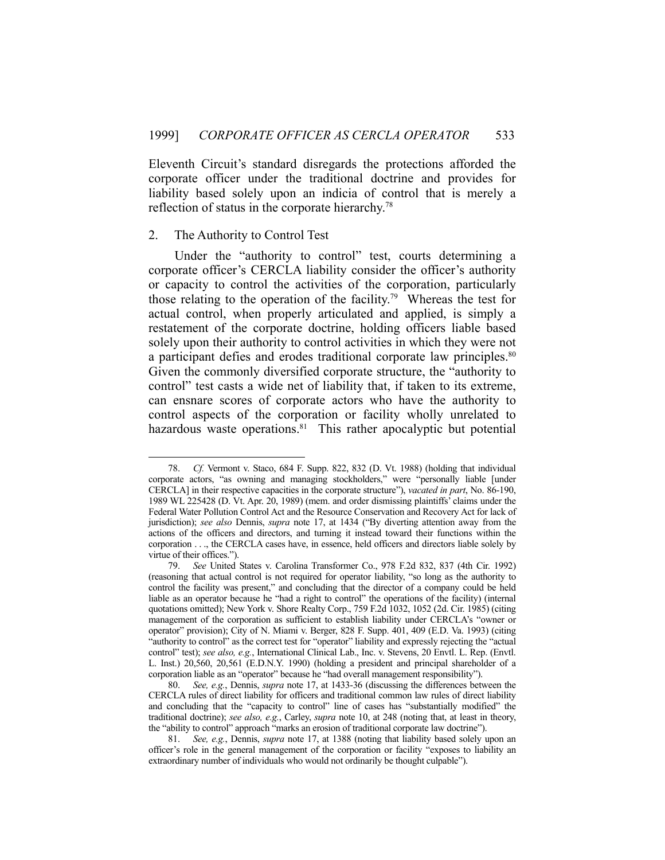Eleventh Circuit's standard disregards the protections afforded the corporate officer under the traditional doctrine and provides for liability based solely upon an indicia of control that is merely a reflection of status in the corporate hierarchy.<sup>78</sup>

## 2. The Authority to Control Test

1

 Under the "authority to control" test, courts determining a corporate officer's CERCLA liability consider the officer's authority or capacity to control the activities of the corporation, particularly those relating to the operation of the facility.<sup>79</sup> Whereas the test for actual control, when properly articulated and applied, is simply a restatement of the corporate doctrine, holding officers liable based solely upon their authority to control activities in which they were not a participant defies and erodes traditional corporate law principles.<sup>80</sup> Given the commonly diversified corporate structure, the "authority to control" test casts a wide net of liability that, if taken to its extreme, can ensnare scores of corporate actors who have the authority to control aspects of the corporation or facility wholly unrelated to hazardous waste operations.<sup>81</sup> This rather apocalyptic but potential

 <sup>78.</sup> *Cf.* Vermont v. Staco, 684 F. Supp. 822, 832 (D. Vt. 1988) (holding that individual corporate actors, "as owning and managing stockholders," were "personally liable [under CERCLA] in their respective capacities in the corporate structure"), *vacated in part*, No. 86-190, 1989 WL 225428 (D. Vt. Apr. 20, 1989) (mem. and order dismissing plaintiffs' claims under the Federal Water Pollution Control Act and the Resource Conservation and Recovery Act for lack of jurisdiction); *see also* Dennis, *supra* note 17, at 1434 ("By diverting attention away from the actions of the officers and directors, and turning it instead toward their functions within the corporation . . ., the CERCLA cases have, in essence, held officers and directors liable solely by virtue of their offices.").

 <sup>79.</sup> *See* United States v. Carolina Transformer Co., 978 F.2d 832, 837 (4th Cir. 1992) (reasoning that actual control is not required for operator liability, "so long as the authority to control the facility was present," and concluding that the director of a company could be held liable as an operator because he "had a right to control" the operations of the facility) (internal quotations omitted); New York v. Shore Realty Corp., 759 F.2d 1032, 1052 (2d. Cir. 1985) (citing management of the corporation as sufficient to establish liability under CERCLA's "owner or operator" provision); City of N. Miami v. Berger, 828 F. Supp. 401, 409 (E.D. Va. 1993) (citing "authority to control" as the correct test for "operator" liability and expressly rejecting the "actual control" test); *see also, e.g.*, International Clinical Lab., Inc. v. Stevens, 20 Envtl. L. Rep. (Envtl. L. Inst.) 20,560, 20,561 (E.D.N.Y. 1990) (holding a president and principal shareholder of a corporation liable as an "operator" because he "had overall management responsibility").

 <sup>80.</sup> *See, e.g.*, Dennis, *supra* note 17, at 1433-36 (discussing the differences between the CERCLA rules of direct liability for officers and traditional common law rules of direct liability and concluding that the "capacity to control" line of cases has "substantially modified" the traditional doctrine); *see also, e.g.*, Carley, *supra* note 10, at 248 (noting that, at least in theory, the "ability to control" approach "marks an erosion of traditional corporate law doctrine").

 <sup>81.</sup> *See, e.g.*, Dennis, *supra* note 17, at 1388 (noting that liability based solely upon an officer's role in the general management of the corporation or facility "exposes to liability an extraordinary number of individuals who would not ordinarily be thought culpable").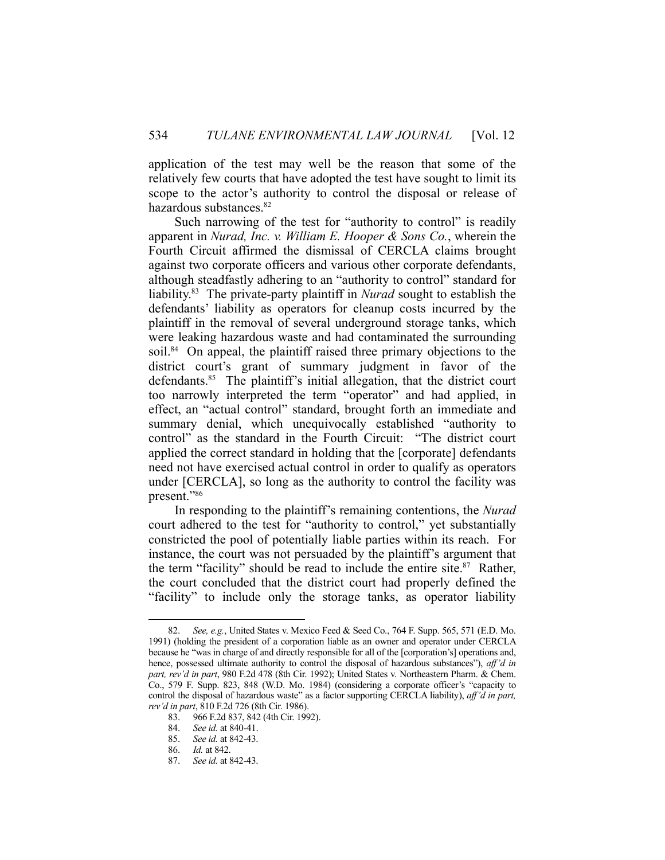application of the test may well be the reason that some of the relatively few courts that have adopted the test have sought to limit its scope to the actor's authority to control the disposal or release of hazardous substances.<sup>82</sup>

 Such narrowing of the test for "authority to control" is readily apparent in *Nurad, Inc. v. William E. Hooper & Sons Co.*, wherein the Fourth Circuit affirmed the dismissal of CERCLA claims brought against two corporate officers and various other corporate defendants, although steadfastly adhering to an "authority to control" standard for liability.83 The private-party plaintiff in *Nurad* sought to establish the defendants' liability as operators for cleanup costs incurred by the plaintiff in the removal of several underground storage tanks, which were leaking hazardous waste and had contaminated the surrounding soil.<sup>84</sup> On appeal, the plaintiff raised three primary objections to the district court's grant of summary judgment in favor of the defendants.<sup>85</sup> The plaintiff's initial allegation, that the district court too narrowly interpreted the term "operator" and had applied, in effect, an "actual control" standard, brought forth an immediate and summary denial, which unequivocally established "authority to control" as the standard in the Fourth Circuit: "The district court applied the correct standard in holding that the [corporate] defendants need not have exercised actual control in order to qualify as operators under [CERCLA], so long as the authority to control the facility was present."86

 In responding to the plaintiff's remaining contentions, the *Nurad*  court adhered to the test for "authority to control," yet substantially constricted the pool of potentially liable parties within its reach. For instance, the court was not persuaded by the plaintiff's argument that the term "facility" should be read to include the entire site. $87$  Rather, the court concluded that the district court had properly defined the "facility" to include only the storage tanks, as operator liability

<u>.</u>

 <sup>82.</sup> *See, e.g.*, United States v. Mexico Feed & Seed Co., 764 F. Supp. 565, 571 (E.D. Mo. 1991) (holding the president of a corporation liable as an owner and operator under CERCLA because he "was in charge of and directly responsible for all of the [corporation's] operations and, hence, possessed ultimate authority to control the disposal of hazardous substances"), *aff'd in part, rev'd in part*, 980 F.2d 478 (8th Cir. 1992); United States v. Northeastern Pharm. & Chem. Co., 579 F. Supp. 823, 848 (W.D. Mo. 1984) (considering a corporate officer's "capacity to control the disposal of hazardous waste" as a factor supporting CERCLA liability), *aff'd in part, rev'd in part*, 810 F.2d 726 (8th Cir. 1986).

 <sup>83. 966</sup> F.2d 837, 842 (4th Cir. 1992).

 <sup>84.</sup> *See id.* at 840-41.

 <sup>85.</sup> *See id.* at 842-43.

 <sup>86.</sup> *Id.* at 842.

 <sup>87.</sup> *See id.* at 842-43.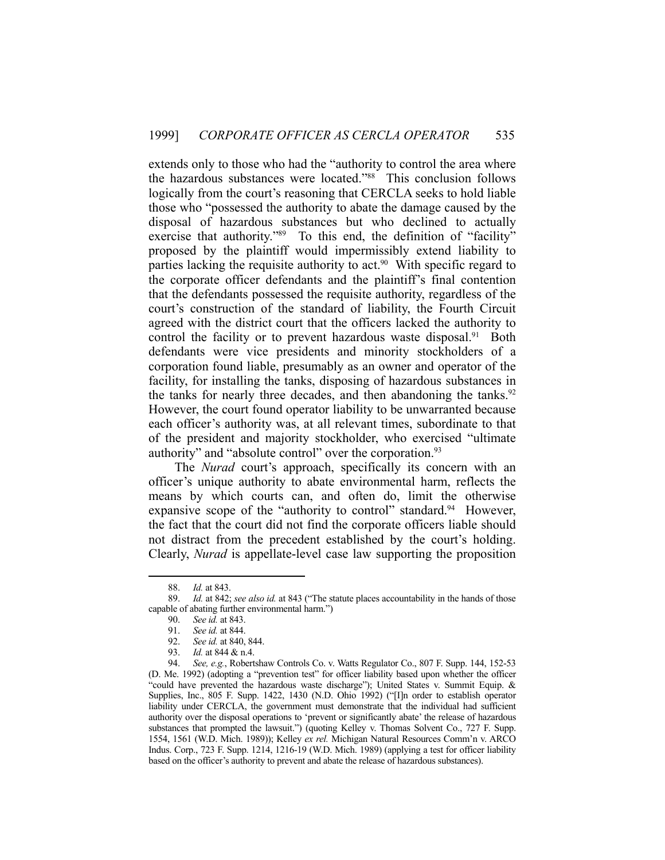extends only to those who had the "authority to control the area where the hazardous substances were located."88 This conclusion follows logically from the court's reasoning that CERCLA seeks to hold liable those who "possessed the authority to abate the damage caused by the disposal of hazardous substances but who declined to actually exercise that authority."<sup>89</sup> To this end, the definition of "facility" proposed by the plaintiff would impermissibly extend liability to parties lacking the requisite authority to act.<sup>90</sup> With specific regard to the corporate officer defendants and the plaintiff's final contention that the defendants possessed the requisite authority, regardless of the court's construction of the standard of liability, the Fourth Circuit agreed with the district court that the officers lacked the authority to control the facility or to prevent hazardous waste disposal.<sup>91</sup> Both defendants were vice presidents and minority stockholders of a corporation found liable, presumably as an owner and operator of the facility, for installing the tanks, disposing of hazardous substances in the tanks for nearly three decades, and then abandoning the tanks. $92$ However, the court found operator liability to be unwarranted because each officer's authority was, at all relevant times, subordinate to that of the president and majority stockholder, who exercised "ultimate authority" and "absolute control" over the corporation.<sup>93</sup>

 The *Nurad* court's approach, specifically its concern with an officer's unique authority to abate environmental harm, reflects the means by which courts can, and often do, limit the otherwise expansive scope of the "authority to control" standard.<sup>94</sup> However, the fact that the court did not find the corporate officers liable should not distract from the precedent established by the court's holding. Clearly, *Nurad* is appellate-level case law supporting the proposition

 <sup>88.</sup> *Id.* at 843.

 <sup>89.</sup> *Id.* at 842; *see also id.* at 843 ("The statute places accountability in the hands of those capable of abating further environmental harm.")

 <sup>90.</sup> *See id.* at 843.

 <sup>91.</sup> *See id.* at 844.

 <sup>92.</sup> *See id.* at 840, 844.

 <sup>93.</sup> *Id.* at 844 & n.4.

 <sup>94.</sup> *See, e.g.*, Robertshaw Controls Co. v. Watts Regulator Co., 807 F. Supp. 144, 152-53 (D. Me. 1992) (adopting a "prevention test" for officer liability based upon whether the officer "could have prevented the hazardous waste discharge"); United States v. Summit Equip. & Supplies, Inc., 805 F. Supp. 1422, 1430 (N.D. Ohio 1992) ("[I]n order to establish operator liability under CERCLA, the government must demonstrate that the individual had sufficient authority over the disposal operations to 'prevent or significantly abate' the release of hazardous substances that prompted the lawsuit.") (quoting Kelley v. Thomas Solvent Co., 727 F. Supp. 1554, 1561 (W.D. Mich. 1989)); Kelley *ex rel.* Michigan Natural Resources Comm'n v. ARCO Indus. Corp., 723 F. Supp. 1214, 1216-19 (W.D. Mich. 1989) (applying a test for officer liability based on the officer's authority to prevent and abate the release of hazardous substances).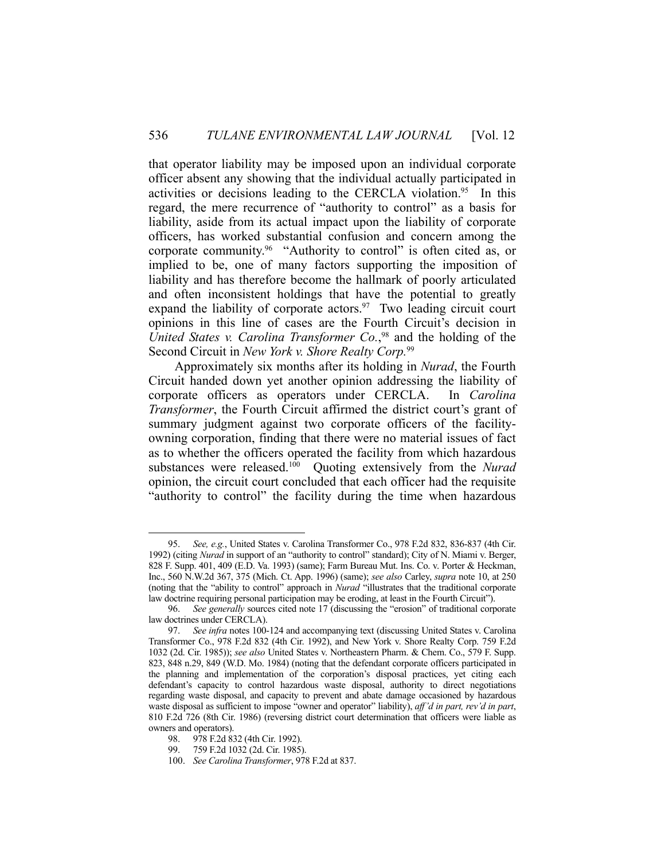that operator liability may be imposed upon an individual corporate officer absent any showing that the individual actually participated in activities or decisions leading to the CERCLA violation.<sup>95</sup> In this regard, the mere recurrence of "authority to control" as a basis for liability, aside from its actual impact upon the liability of corporate officers, has worked substantial confusion and concern among the corporate community.<sup>96</sup> "Authority to control" is often cited as, or implied to be, one of many factors supporting the imposition of liability and has therefore become the hallmark of poorly articulated and often inconsistent holdings that have the potential to greatly expand the liability of corporate actors.<sup>97</sup> Two leading circuit court opinions in this line of cases are the Fourth Circuit's decision in *United States v. Carolina Transformer Co.*, 98 and the holding of the Second Circuit in *New York v. Shore Realty Corp.*<sup>99</sup>

 Approximately six months after its holding in *Nurad*, the Fourth Circuit handed down yet another opinion addressing the liability of corporate officers as operators under CERCLA. In *Carolina Transformer*, the Fourth Circuit affirmed the district court's grant of summary judgment against two corporate officers of the facilityowning corporation, finding that there were no material issues of fact as to whether the officers operated the facility from which hazardous substances were released.100 Quoting extensively from the *Nurad*  opinion, the circuit court concluded that each officer had the requisite "authority to control" the facility during the time when hazardous

 <sup>95.</sup> *See, e.g.*, United States v. Carolina Transformer Co., 978 F.2d 832, 836-837 (4th Cir. 1992) (citing *Nurad* in support of an "authority to control" standard); City of N. Miami v. Berger, 828 F. Supp. 401, 409 (E.D. Va. 1993) (same); Farm Bureau Mut. Ins. Co. v. Porter & Heckman, Inc., 560 N.W.2d 367, 375 (Mich. Ct. App. 1996) (same); *see also* Carley, *supra* note 10, at 250 (noting that the "ability to control" approach in *Nurad* "illustrates that the traditional corporate law doctrine requiring personal participation may be eroding, at least in the Fourth Circuit").

 <sup>96.</sup> *See generally* sources cited note 17 (discussing the "erosion" of traditional corporate law doctrines under CERCLA).

 <sup>97.</sup> *See infra* notes 100-124 and accompanying text (discussing United States v. Carolina Transformer Co., 978 F.2d 832 (4th Cir. 1992), and New York v. Shore Realty Corp. 759 F.2d 1032 (2d. Cir. 1985)); *see also* United States v. Northeastern Pharm. & Chem. Co., 579 F. Supp. 823, 848 n.29, 849 (W.D. Mo. 1984) (noting that the defendant corporate officers participated in the planning and implementation of the corporation's disposal practices, yet citing each defendant's capacity to control hazardous waste disposal, authority to direct negotiations regarding waste disposal, and capacity to prevent and abate damage occasioned by hazardous waste disposal as sufficient to impose "owner and operator" liability), *aff'd in part, rev'd in part*, 810 F.2d 726 (8th Cir. 1986) (reversing district court determination that officers were liable as owners and operators).

 <sup>98. 978</sup> F.2d 832 (4th Cir. 1992).

 <sup>99. 759</sup> F.2d 1032 (2d. Cir. 1985).

 <sup>100.</sup> *See Carolina Transformer*, 978 F.2d at 837.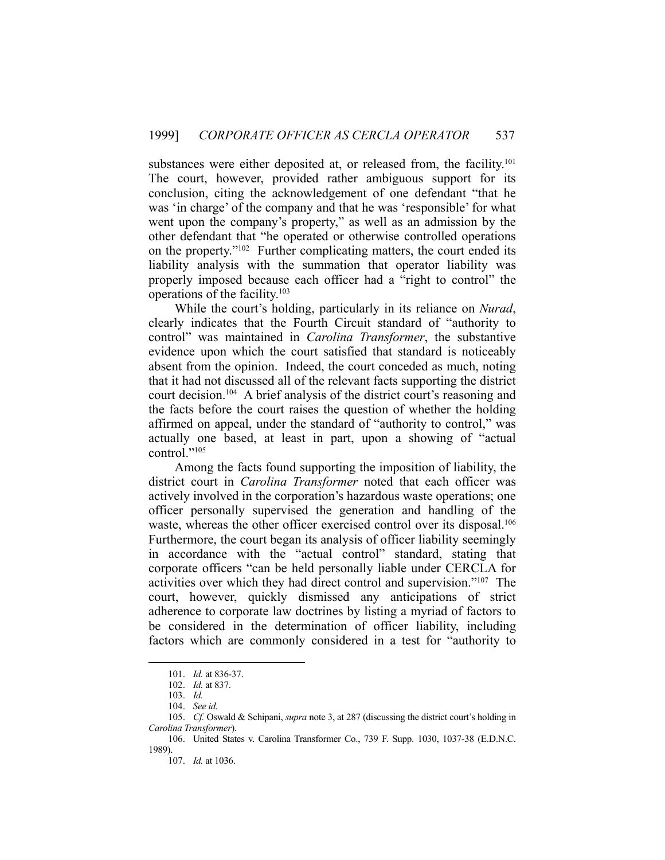substances were either deposited at, or released from, the facility.<sup>101</sup> The court, however, provided rather ambiguous support for its conclusion, citing the acknowledgement of one defendant "that he was 'in charge' of the company and that he was 'responsible' for what went upon the company's property," as well as an admission by the other defendant that "he operated or otherwise controlled operations on the property."102 Further complicating matters, the court ended its liability analysis with the summation that operator liability was properly imposed because each officer had a "right to control" the operations of the facility.103

 While the court's holding, particularly in its reliance on *Nurad*, clearly indicates that the Fourth Circuit standard of "authority to control" was maintained in *Carolina Transformer*, the substantive evidence upon which the court satisfied that standard is noticeably absent from the opinion. Indeed, the court conceded as much, noting that it had not discussed all of the relevant facts supporting the district court decision.104 A brief analysis of the district court's reasoning and the facts before the court raises the question of whether the holding affirmed on appeal, under the standard of "authority to control," was actually one based, at least in part, upon a showing of "actual control."<sup>105</sup>

 Among the facts found supporting the imposition of liability, the district court in *Carolina Transformer* noted that each officer was actively involved in the corporation's hazardous waste operations; one officer personally supervised the generation and handling of the waste, whereas the other officer exercised control over its disposal.<sup>106</sup> Furthermore, the court began its analysis of officer liability seemingly in accordance with the "actual control" standard, stating that corporate officers "can be held personally liable under CERCLA for activities over which they had direct control and supervision."107 The court, however, quickly dismissed any anticipations of strict adherence to corporate law doctrines by listing a myriad of factors to be considered in the determination of officer liability, including factors which are commonly considered in a test for "authority to

 <sup>101.</sup> *Id.* at 836-37.

 <sup>102.</sup> *Id.* at 837.

 <sup>103.</sup> *Id.*

 <sup>104.</sup> *See id.*

 <sup>105.</sup> *Cf.* Oswald & Schipani, *supra* note 3, at 287 (discussing the district court's holding in *Carolina Transformer*).

 <sup>106.</sup> United States v. Carolina Transformer Co., 739 F. Supp. 1030, 1037-38 (E.D.N.C. 1989).

 <sup>107.</sup> *Id.* at 1036.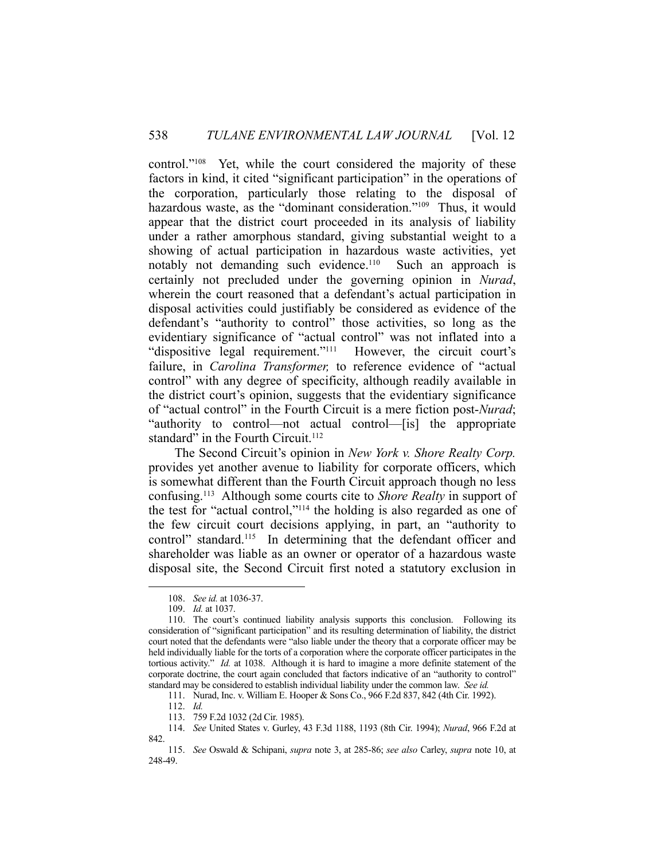control."108 Yet, while the court considered the majority of these factors in kind, it cited "significant participation" in the operations of the corporation, particularly those relating to the disposal of hazardous waste, as the "dominant consideration."<sup>109</sup> Thus, it would appear that the district court proceeded in its analysis of liability under a rather amorphous standard, giving substantial weight to a showing of actual participation in hazardous waste activities, yet notably not demanding such evidence.<sup>110</sup> Such an approach is certainly not precluded under the governing opinion in *Nurad*, wherein the court reasoned that a defendant's actual participation in disposal activities could justifiably be considered as evidence of the defendant's "authority to control" those activities, so long as the evidentiary significance of "actual control" was not inflated into a "dispositive legal requirement."111 However, the circuit court's failure, in *Carolina Transformer,* to reference evidence of "actual control" with any degree of specificity, although readily available in the district court's opinion, suggests that the evidentiary significance of "actual control" in the Fourth Circuit is a mere fiction post-*Nurad*; "authority to control—not actual control—[is] the appropriate standard" in the Fourth Circuit. $112$ 

 The Second Circuit's opinion in *New York v. Shore Realty Corp.* provides yet another avenue to liability for corporate officers, which is somewhat different than the Fourth Circuit approach though no less confusing.113 Although some courts cite to *Shore Realty* in support of the test for "actual control,"114 the holding is also regarded as one of the few circuit court decisions applying, in part, an "authority to control" standard.<sup>115</sup> In determining that the defendant officer and shareholder was liable as an owner or operator of a hazardous waste disposal site, the Second Circuit first noted a statutory exclusion in

 <sup>108.</sup> *See id.* at 1036-37.

 <sup>109.</sup> *Id.* at 1037.

 <sup>110.</sup> The court's continued liability analysis supports this conclusion. Following its consideration of "significant participation" and its resulting determination of liability, the district court noted that the defendants were "also liable under the theory that a corporate officer may be held individually liable for the torts of a corporation where the corporate officer participates in the tortious activity." *Id.* at 1038. Although it is hard to imagine a more definite statement of the corporate doctrine, the court again concluded that factors indicative of an "authority to control" standard may be considered to establish individual liability under the common law. *See id.*

 <sup>111.</sup> Nurad, Inc. v. William E. Hooper & Sons Co., 966 F.2d 837, 842 (4th Cir. 1992).

 <sup>112.</sup> *Id.*

 <sup>113. 759</sup> F.2d 1032 (2d Cir. 1985).

 <sup>114.</sup> *See* United States v. Gurley, 43 F.3d 1188, 1193 (8th Cir. 1994); *Nurad*, 966 F.2d at 842

 <sup>115.</sup> *See* Oswald & Schipani, *supra* note 3, at 285-86; *see also* Carley, *supra* note 10, at 248-49.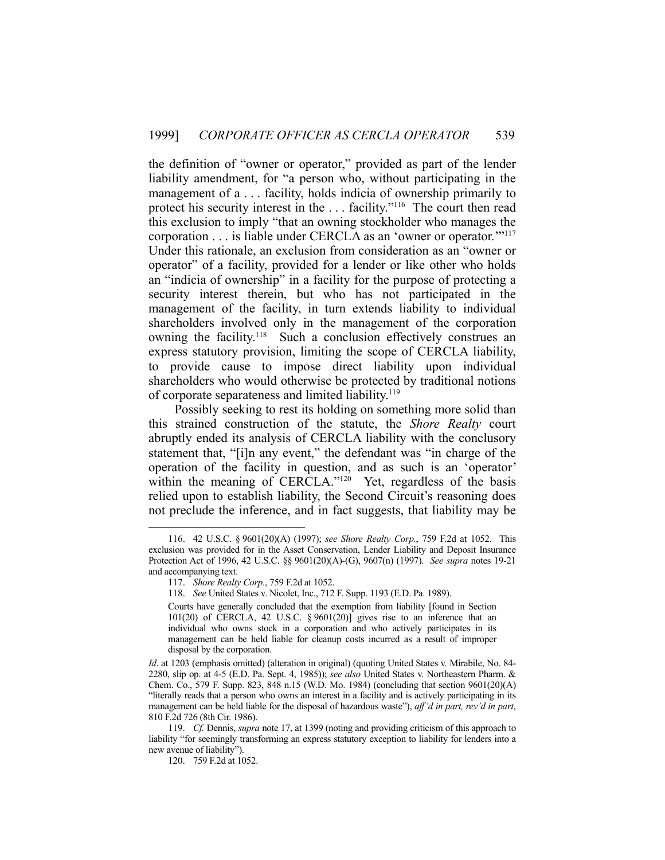the definition of "owner or operator," provided as part of the lender liability amendment, for "a person who, without participating in the management of a . . . facility, holds indicia of ownership primarily to protect his security interest in the . . . facility."116 The court then read this exclusion to imply "that an owning stockholder who manages the corporation . . . is liable under CERCLA as an 'owner or operator.'"117 Under this rationale, an exclusion from consideration as an "owner or operator" of a facility, provided for a lender or like other who holds an "indicia of ownership" in a facility for the purpose of protecting a security interest therein, but who has not participated in the management of the facility, in turn extends liability to individual shareholders involved only in the management of the corporation owning the facility.<sup>118</sup> Such a conclusion effectively construes an express statutory provision, limiting the scope of CERCLA liability, to provide cause to impose direct liability upon individual shareholders who would otherwise be protected by traditional notions of corporate separateness and limited liability.<sup>119</sup>

 Possibly seeking to rest its holding on something more solid than this strained construction of the statute, the *Shore Realty* court abruptly ended its analysis of CERCLA liability with the conclusory statement that, "[i]n any event," the defendant was "in charge of the operation of the facility in question, and as such is an 'operator' within the meaning of CERCLA."<sup>120</sup> Yet, regardless of the basis relied upon to establish liability, the Second Circuit's reasoning does not preclude the inference, and in fact suggests, that liability may be

 <sup>116. 42</sup> U.S.C. § 9601(20)(A) (1997); *see Shore Realty Corp.*, 759 F.2d at 1052. This exclusion was provided for in the Asset Conservation, Lender Liability and Deposit Insurance Protection Act of 1996, 42 U.S.C. §§ 9601(20)(A)-(G), 9607(n) (1997). *See supra* notes 19-21 and accompanying text.

 <sup>117.</sup> *Shore Realty Corp.*, 759 F.2d at 1052.

 <sup>118.</sup> *See* United States v. Nicolet, Inc., 712 F. Supp. 1193 (E.D. Pa. 1989).

Courts have generally concluded that the exemption from liability [found in Section 101(20) of CERCLA, 42 U.S.C. § 9601(20)] gives rise to an inference that an individual who owns stock in a corporation and who actively participates in its management can be held liable for cleanup costs incurred as a result of improper disposal by the corporation.

*Id*. at 1203 (emphasis omitted) (alteration in original) (quoting United States v. Mirabile, No. 84- 2280, slip op. at 4-5 (E.D. Pa. Sept. 4, 1985)); *see also* United States v. Northeastern Pharm. & Chem. Co., 579 F. Supp. 823, 848 n.15 (W.D. Mo. 1984) (concluding that section 9601(20)(A) "literally reads that a person who owns an interest in a facility and is actively participating in its management can be held liable for the disposal of hazardous waste"), *aff'd in part, rev'd in part*, 810 F.2d 726 (8th Cir. 1986).

 <sup>119.</sup> *Cf.* Dennis, *supra* note 17, at 1399 (noting and providing criticism of this approach to liability "for seemingly transforming an express statutory exception to liability for lenders into a new avenue of liability").

 <sup>120. 759</sup> F.2d at 1052.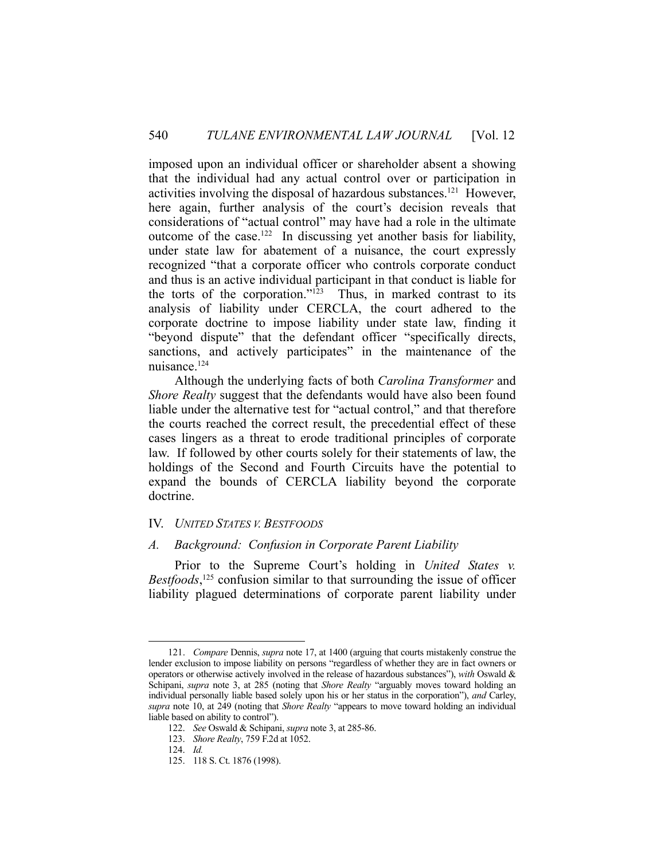imposed upon an individual officer or shareholder absent a showing that the individual had any actual control over or participation in activities involving the disposal of hazardous substances.121 However, here again, further analysis of the court's decision reveals that considerations of "actual control" may have had a role in the ultimate outcome of the case.122 In discussing yet another basis for liability, under state law for abatement of a nuisance, the court expressly recognized "that a corporate officer who controls corporate conduct and thus is an active individual participant in that conduct is liable for the torts of the corporation." $123$  Thus, in marked contrast to its analysis of liability under CERCLA, the court adhered to the corporate doctrine to impose liability under state law, finding it "beyond dispute" that the defendant officer "specifically directs, sanctions, and actively participates" in the maintenance of the nuisance.124

 Although the underlying facts of both *Carolina Transformer* and *Shore Realty* suggest that the defendants would have also been found liable under the alternative test for "actual control," and that therefore the courts reached the correct result, the precedential effect of these cases lingers as a threat to erode traditional principles of corporate law. If followed by other courts solely for their statements of law, the holdings of the Second and Fourth Circuits have the potential to expand the bounds of CERCLA liability beyond the corporate doctrine.

## IV. *UNITED STATES V. BESTFOODS*

## *A. Background: Confusion in Corporate Parent Liability*

Prior to the Supreme Court's holding in *United States v. Bestfoods*, 125 confusion similar to that surrounding the issue of officer liability plagued determinations of corporate parent liability under

<u>.</u>

 <sup>121.</sup> *Compare* Dennis, *supra* note 17, at 1400 (arguing that courts mistakenly construe the lender exclusion to impose liability on persons "regardless of whether they are in fact owners or operators or otherwise actively involved in the release of hazardous substances"), *with* Oswald & Schipani, *supra* note 3, at 285 (noting that *Shore Realty* "arguably moves toward holding an individual personally liable based solely upon his or her status in the corporation"), *and* Carley, *supra* note 10, at 249 (noting that *Shore Realty* "appears to move toward holding an individual liable based on ability to control").

 <sup>122.</sup> *See* Oswald & Schipani, *supra* note 3, at 285-86.

 <sup>123.</sup> *Shore Realty*, 759 F.2d at 1052.

 <sup>124.</sup> *Id.*

 <sup>125. 118</sup> S. Ct. 1876 (1998).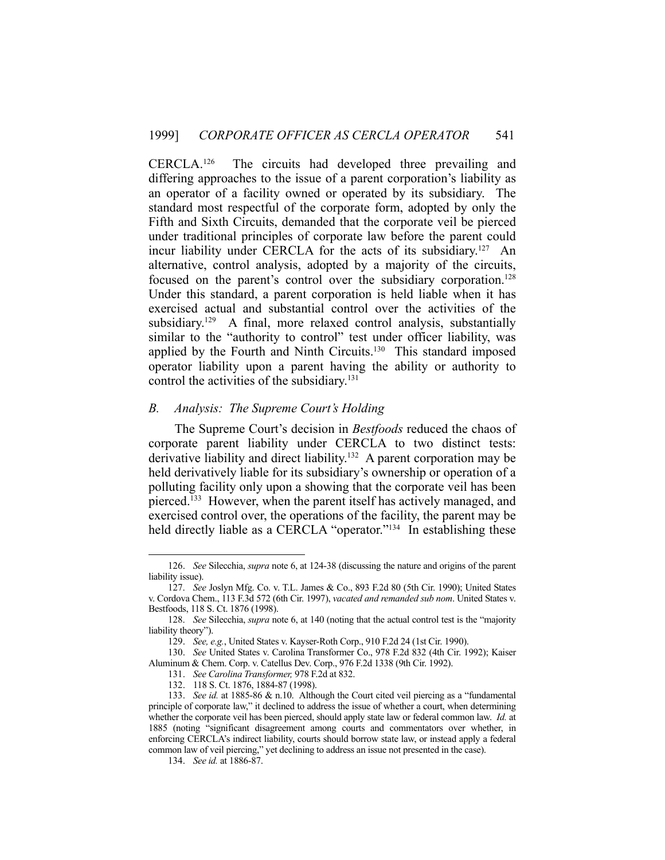CERCLA.126 The circuits had developed three prevailing and differing approaches to the issue of a parent corporation's liability as an operator of a facility owned or operated by its subsidiary. The standard most respectful of the corporate form, adopted by only the Fifth and Sixth Circuits, demanded that the corporate veil be pierced under traditional principles of corporate law before the parent could incur liability under CERCLA for the acts of its subsidiary.127 An alternative, control analysis, adopted by a majority of the circuits, focused on the parent's control over the subsidiary corporation.<sup>128</sup> Under this standard, a parent corporation is held liable when it has exercised actual and substantial control over the activities of the subsidiary.<sup>129</sup> A final, more relaxed control analysis, substantially similar to the "authority to control" test under officer liability, was applied by the Fourth and Ninth Circuits.<sup>130</sup> This standard imposed operator liability upon a parent having the ability or authority to control the activities of the subsidiary.<sup>131</sup>

## *B. Analysis: The Supreme Court's Holding*

 The Supreme Court's decision in *Bestfoods* reduced the chaos of corporate parent liability under CERCLA to two distinct tests: derivative liability and direct liability.<sup>132</sup> A parent corporation may be held derivatively liable for its subsidiary's ownership or operation of a polluting facility only upon a showing that the corporate veil has been pierced.<sup>133</sup> However, when the parent itself has actively managed, and exercised control over, the operations of the facility, the parent may be held directly liable as a CERCLA "operator."<sup>134</sup> In establishing these

134. *See id.* at 1886-87.

 <sup>126.</sup> *See* Silecchia, *supra* note 6, at 124-38 (discussing the nature and origins of the parent liability issue).

 <sup>127.</sup> *See* Joslyn Mfg. Co. v. T.L. James & Co., 893 F.2d 80 (5th Cir. 1990); United States v. Cordova Chem., 113 F.3d 572 (6th Cir. 1997), *vacated and remanded sub nom*. United States v. Bestfoods, 118 S. Ct. 1876 (1998).

 <sup>128.</sup> *See* Silecchia, *supra* note 6, at 140 (noting that the actual control test is the "majority liability theory").

 <sup>129.</sup> *See, e.g.*, United States v. Kayser-Roth Corp., 910 F.2d 24 (1st Cir. 1990).

 <sup>130.</sup> *See* United States v. Carolina Transformer Co., 978 F.2d 832 (4th Cir. 1992); Kaiser Aluminum & Chem. Corp. v. Catellus Dev. Corp., 976 F.2d 1338 (9th Cir. 1992).

 <sup>131.</sup> *See Carolina Transformer,* 978 F.2d at 832.

 <sup>132. 118</sup> S. Ct. 1876, 1884-87 (1998).

 <sup>133.</sup> *See id.* at 1885-86 & n.10. Although the Court cited veil piercing as a "fundamental principle of corporate law," it declined to address the issue of whether a court, when determining whether the corporate veil has been pierced, should apply state law or federal common law. *Id.* at 1885 (noting "significant disagreement among courts and commentators over whether, in enforcing CERCLA's indirect liability, courts should borrow state law, or instead apply a federal common law of veil piercing," yet declining to address an issue not presented in the case).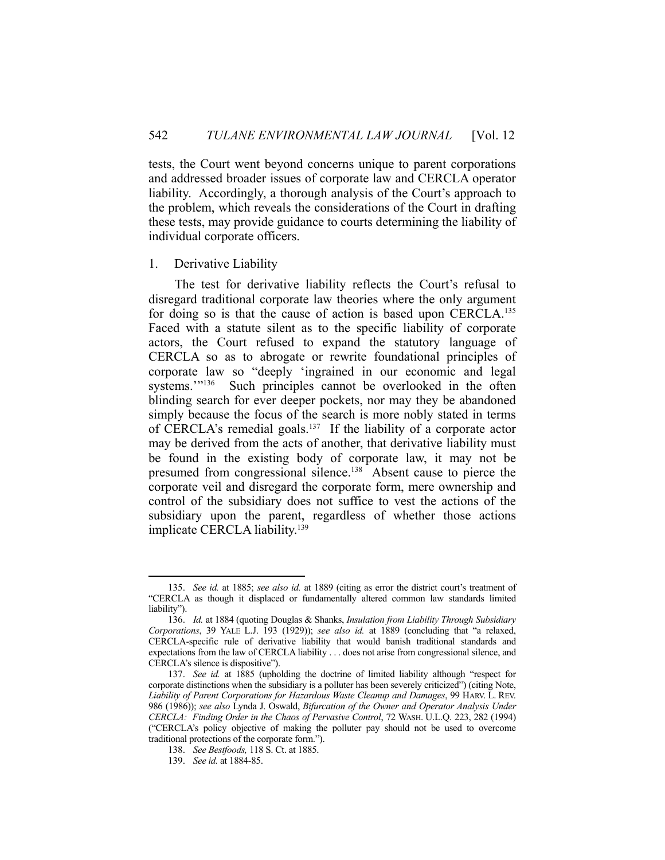tests, the Court went beyond concerns unique to parent corporations and addressed broader issues of corporate law and CERCLA operator liability. Accordingly, a thorough analysis of the Court's approach to the problem, which reveals the considerations of the Court in drafting these tests, may provide guidance to courts determining the liability of individual corporate officers.

#### 1. Derivative Liability

 The test for derivative liability reflects the Court's refusal to disregard traditional corporate law theories where the only argument for doing so is that the cause of action is based upon CERCLA.<sup>135</sup> Faced with a statute silent as to the specific liability of corporate actors, the Court refused to expand the statutory language of CERCLA so as to abrogate or rewrite foundational principles of corporate law so "deeply 'ingrained in our economic and legal systems."<sup>136</sup> Such principles cannot be overlooked in the often blinding search for ever deeper pockets, nor may they be abandoned simply because the focus of the search is more nobly stated in terms of CERCLA's remedial goals.137 If the liability of a corporate actor may be derived from the acts of another, that derivative liability must be found in the existing body of corporate law, it may not be presumed from congressional silence.138 Absent cause to pierce the corporate veil and disregard the corporate form, mere ownership and control of the subsidiary does not suffice to vest the actions of the subsidiary upon the parent, regardless of whether those actions implicate CERCLA liability.<sup>139</sup>

 <sup>135.</sup> *See id.* at 1885; *see also id.* at 1889 (citing as error the district court's treatment of "CERCLA as though it displaced or fundamentally altered common law standards limited liability").

 <sup>136.</sup> *Id.* at 1884 (quoting Douglas & Shanks, *Insulation from Liability Through Subsidiary Corporations*, 39 YALE L.J. 193 (1929)); *see also id.* at 1889 (concluding that "a relaxed, CERCLA-specific rule of derivative liability that would banish traditional standards and expectations from the law of CERCLA liability . . . does not arise from congressional silence, and CERCLA's silence is dispositive").

 <sup>137.</sup> *See id.* at 1885 (upholding the doctrine of limited liability although "respect for corporate distinctions when the subsidiary is a polluter has been severely criticized") (citing Note, *Liability of Parent Corporations for Hazardous Waste Cleanup and Damages*, 99 HARV. L. REV. 986 (1986)); *see also* Lynda J. Oswald, *Bifurcation of the Owner and Operator Analysis Under CERCLA: Finding Order in the Chaos of Pervasive Control*, 72 WASH. U.L.Q. 223, 282 (1994) ("CERCLA's policy objective of making the polluter pay should not be used to overcome traditional protections of the corporate form.").

 <sup>138.</sup> *See Bestfoods,* 118 S. Ct. at 1885.

 <sup>139.</sup> *See id.* at 1884-85.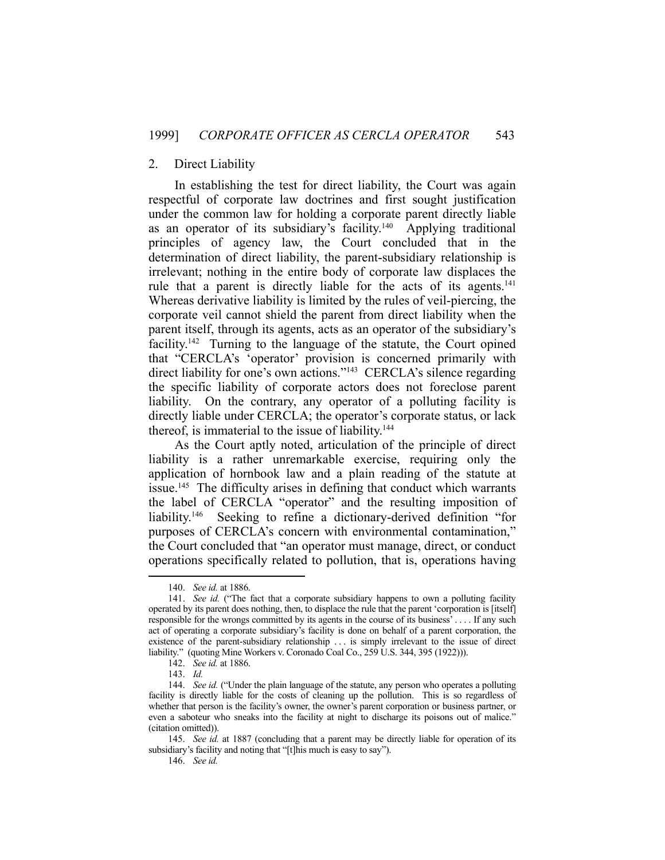## 2. Direct Liability

 In establishing the test for direct liability, the Court was again respectful of corporate law doctrines and first sought justification under the common law for holding a corporate parent directly liable as an operator of its subsidiary's facility.140 Applying traditional principles of agency law, the Court concluded that in the determination of direct liability, the parent-subsidiary relationship is irrelevant; nothing in the entire body of corporate law displaces the rule that a parent is directly liable for the acts of its agents.<sup>141</sup> Whereas derivative liability is limited by the rules of veil-piercing, the corporate veil cannot shield the parent from direct liability when the parent itself, through its agents, acts as an operator of the subsidiary's facility.<sup>142</sup> Turning to the language of the statute, the Court opined that "CERCLA's 'operator' provision is concerned primarily with direct liability for one's own actions."<sup>143</sup> CERCLA's silence regarding the specific liability of corporate actors does not foreclose parent liability. On the contrary, any operator of a polluting facility is directly liable under CERCLA; the operator's corporate status, or lack thereof, is immaterial to the issue of liability.<sup>144</sup>

 As the Court aptly noted, articulation of the principle of direct liability is a rather unremarkable exercise, requiring only the application of hornbook law and a plain reading of the statute at issue.<sup>145</sup> The difficulty arises in defining that conduct which warrants the label of CERCLA "operator" and the resulting imposition of liability.<sup>146</sup> Seeking to refine a dictionary-derived definition "for purposes of CERCLA's concern with environmental contamination," the Court concluded that "an operator must manage, direct, or conduct operations specifically related to pollution, that is, operations having

 <sup>140.</sup> *See id.* at 1886.

 <sup>141.</sup> *See id.* ("The fact that a corporate subsidiary happens to own a polluting facility operated by its parent does nothing, then, to displace the rule that the parent 'corporation is [itself] responsible for the wrongs committed by its agents in the course of its business' . . . . If any such act of operating a corporate subsidiary's facility is done on behalf of a parent corporation, the existence of the parent-subsidiary relationship . . . is simply irrelevant to the issue of direct liability." (quoting Mine Workers v. Coronado Coal Co., 259 U.S. 344, 395 (1922))).

 <sup>142.</sup> *See id.* at 1886.

 <sup>143.</sup> *Id.*

 <sup>144.</sup> *See id.* ("Under the plain language of the statute, any person who operates a polluting facility is directly liable for the costs of cleaning up the pollution. This is so regardless of whether that person is the facility's owner, the owner's parent corporation or business partner, or even a saboteur who sneaks into the facility at night to discharge its poisons out of malice." (citation omitted)).

 <sup>145.</sup> *See id.* at 1887 (concluding that a parent may be directly liable for operation of its subsidiary's facility and noting that "[t]his much is easy to say").

 <sup>146.</sup> *See id.*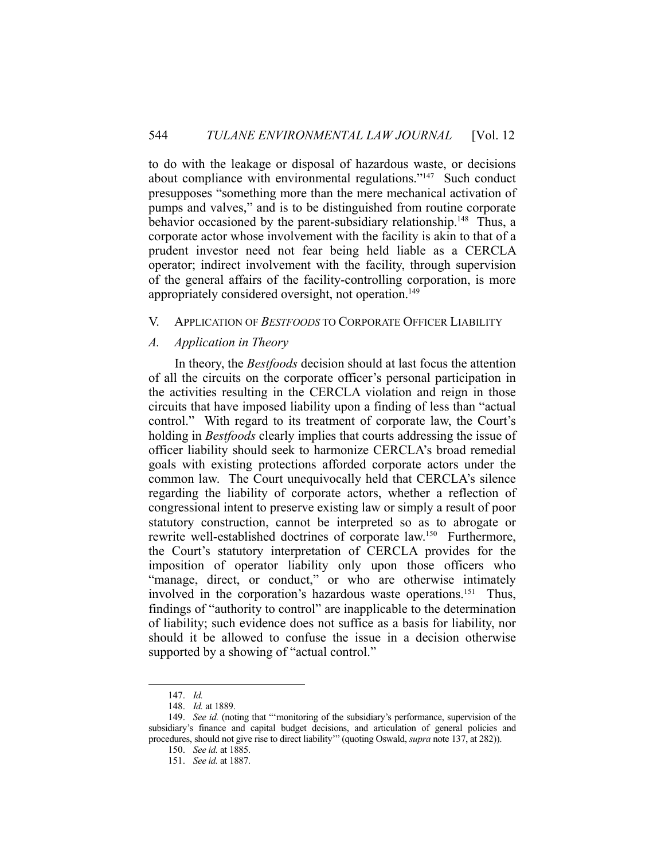to do with the leakage or disposal of hazardous waste, or decisions about compliance with environmental regulations."147 Such conduct presupposes "something more than the mere mechanical activation of pumps and valves," and is to be distinguished from routine corporate behavior occasioned by the parent-subsidiary relationship.<sup>148</sup> Thus, a corporate actor whose involvement with the facility is akin to that of a prudent investor need not fear being held liable as a CERCLA operator; indirect involvement with the facility, through supervision of the general affairs of the facility-controlling corporation, is more appropriately considered oversight, not operation.<sup>149</sup>

## V. APPLICATION OF *BESTFOODS* TO CORPORATE OFFICER LIABILITY

## *A. Application in Theory*

 In theory, the *Bestfoods* decision should at last focus the attention of all the circuits on the corporate officer's personal participation in the activities resulting in the CERCLA violation and reign in those circuits that have imposed liability upon a finding of less than "actual control." With regard to its treatment of corporate law, the Court's holding in *Bestfoods* clearly implies that courts addressing the issue of officer liability should seek to harmonize CERCLA's broad remedial goals with existing protections afforded corporate actors under the common law. The Court unequivocally held that CERCLA's silence regarding the liability of corporate actors, whether a reflection of congressional intent to preserve existing law or simply a result of poor statutory construction, cannot be interpreted so as to abrogate or rewrite well-established doctrines of corporate law.<sup>150</sup> Furthermore, the Court's statutory interpretation of CERCLA provides for the imposition of operator liability only upon those officers who "manage, direct, or conduct," or who are otherwise intimately involved in the corporation's hazardous waste operations.<sup>151</sup> Thus, findings of "authority to control" are inapplicable to the determination of liability; such evidence does not suffice as a basis for liability, nor should it be allowed to confuse the issue in a decision otherwise supported by a showing of "actual control."

 <sup>147.</sup> *Id.* 

 <sup>148.</sup> *Id.* at 1889.

 <sup>149.</sup> *See id.* (noting that "'monitoring of the subsidiary's performance, supervision of the subsidiary's finance and capital budget decisions, and articulation of general policies and procedures, should not give rise to direct liability'" (quoting Oswald, *supra* note 137, at 282)).

 <sup>150.</sup> *See id.* at 1885.

 <sup>151.</sup> *See id.* at 1887.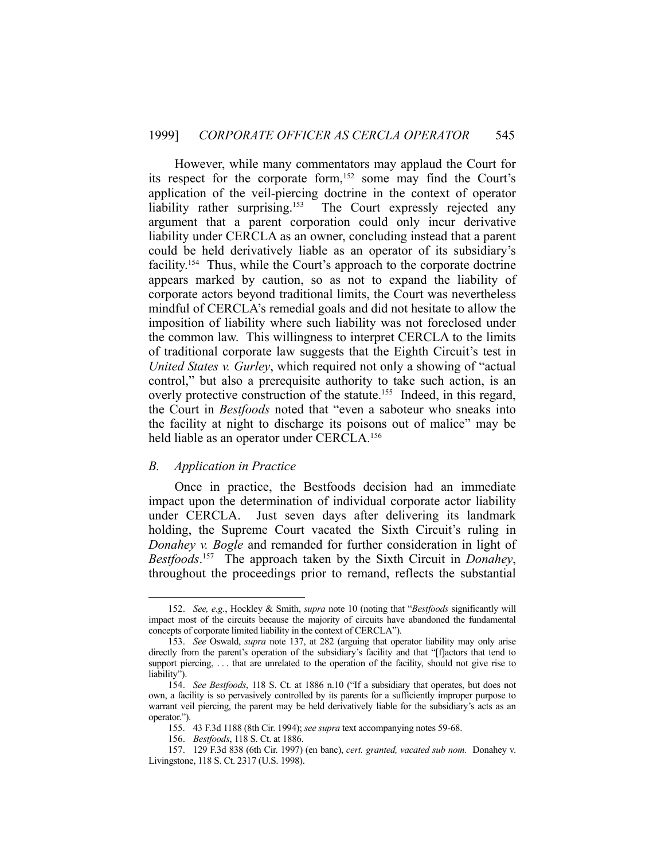However, while many commentators may applaud the Court for its respect for the corporate form,<sup>152</sup> some may find the Court's application of the veil-piercing doctrine in the context of operator liability rather surprising.<sup>153</sup> The Court expressly rejected any argument that a parent corporation could only incur derivative liability under CERCLA as an owner, concluding instead that a parent could be held derivatively liable as an operator of its subsidiary's facility.<sup>154</sup> Thus, while the Court's approach to the corporate doctrine appears marked by caution, so as not to expand the liability of corporate actors beyond traditional limits, the Court was nevertheless mindful of CERCLA's remedial goals and did not hesitate to allow the imposition of liability where such liability was not foreclosed under the common law. This willingness to interpret CERCLA to the limits of traditional corporate law suggests that the Eighth Circuit's test in *United States v. Gurley*, which required not only a showing of "actual control," but also a prerequisite authority to take such action, is an overly protective construction of the statute.155 Indeed, in this regard, the Court in *Bestfoods* noted that "even a saboteur who sneaks into the facility at night to discharge its poisons out of malice" may be held liable as an operator under CERCLA.<sup>156</sup>

## *B. Application in Practice*

1

 Once in practice, the Bestfoods decision had an immediate impact upon the determination of individual corporate actor liability under CERCLA. Just seven days after delivering its landmark holding, the Supreme Court vacated the Sixth Circuit's ruling in *Donahey v. Bogle* and remanded for further consideration in light of *Bestfoods*. 157 The approach taken by the Sixth Circuit in *Donahey*, throughout the proceedings prior to remand, reflects the substantial

 <sup>152.</sup> *See, e.g.*, Hockley & Smith, *supra* note 10 (noting that "*Bestfoods* significantly will impact most of the circuits because the majority of circuits have abandoned the fundamental concepts of corporate limited liability in the context of CERCLA").

 <sup>153.</sup> *See* Oswald, *supra* note 137, at 282 (arguing that operator liability may only arise directly from the parent's operation of the subsidiary's facility and that "[f]actors that tend to support piercing, ... that are unrelated to the operation of the facility, should not give rise to liability").

 <sup>154.</sup> *See Bestfoods*, 118 S. Ct. at 1886 n.10 ("If a subsidiary that operates, but does not own, a facility is so pervasively controlled by its parents for a sufficiently improper purpose to warrant veil piercing, the parent may be held derivatively liable for the subsidiary's acts as an operator.").

 <sup>155. 43</sup> F.3d 1188 (8th Cir. 1994); *see supra* text accompanying notes 59-68.

 <sup>156.</sup> *Bestfoods*, 118 S. Ct. at 1886.

 <sup>157. 129</sup> F.3d 838 (6th Cir. 1997) (en banc), *cert. granted, vacated sub nom.* Donahey v. Livingstone, 118 S. Ct. 2317 (U.S. 1998).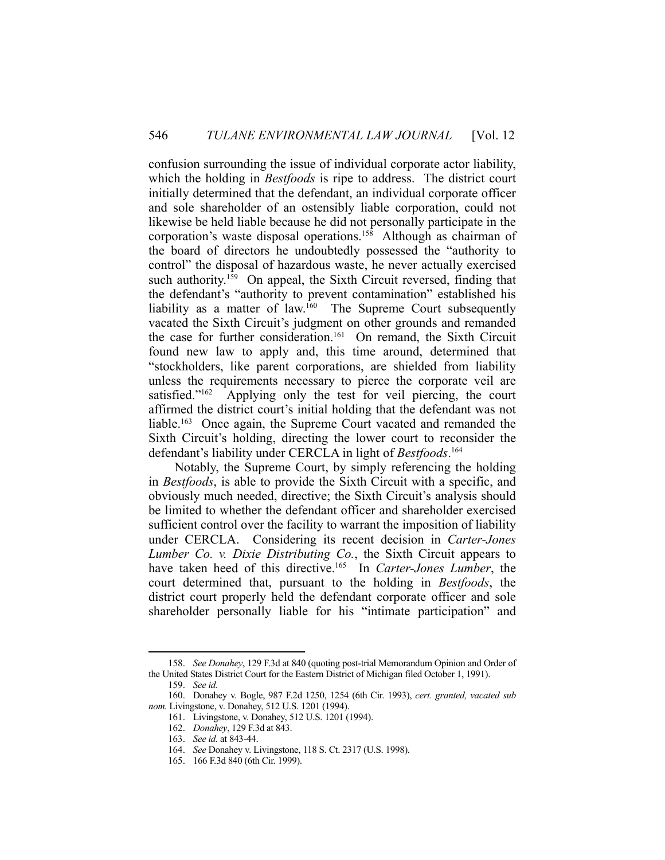confusion surrounding the issue of individual corporate actor liability, which the holding in *Bestfoods* is ripe to address. The district court initially determined that the defendant, an individual corporate officer and sole shareholder of an ostensibly liable corporation, could not likewise be held liable because he did not personally participate in the corporation's waste disposal operations.158 Although as chairman of the board of directors he undoubtedly possessed the "authority to control" the disposal of hazardous waste, he never actually exercised such authority.<sup>159</sup> On appeal, the Sixth Circuit reversed, finding that the defendant's "authority to prevent contamination" established his liability as a matter of law.<sup>160</sup> The Supreme Court subsequently vacated the Sixth Circuit's judgment on other grounds and remanded the case for further consideration.<sup>161</sup> On remand, the Sixth Circuit found new law to apply and, this time around, determined that "stockholders, like parent corporations, are shielded from liability unless the requirements necessary to pierce the corporate veil are satisfied."<sup>162</sup> Applying only the test for veil piercing, the court affirmed the district court's initial holding that the defendant was not liable.163 Once again, the Supreme Court vacated and remanded the Sixth Circuit's holding, directing the lower court to reconsider the defendant's liability under CERCLA in light of *Bestfoods*. 164

 Notably, the Supreme Court, by simply referencing the holding in *Bestfoods*, is able to provide the Sixth Circuit with a specific, and obviously much needed, directive; the Sixth Circuit's analysis should be limited to whether the defendant officer and shareholder exercised sufficient control over the facility to warrant the imposition of liability under CERCLA. Considering its recent decision in *Carter-Jones Lumber Co. v. Dixie Distributing Co.*, the Sixth Circuit appears to have taken heed of this directive.<sup>165</sup> In *Carter-Jones Lumber*, the court determined that, pursuant to the holding in *Bestfoods*, the district court properly held the defendant corporate officer and sole shareholder personally liable for his "intimate participation" and

 <sup>158.</sup> *See Donahey*, 129 F.3d at 840 (quoting post-trial Memorandum Opinion and Order of the United States District Court for the Eastern District of Michigan filed October 1, 1991).

 <sup>159.</sup> *See id.* 

 <sup>160.</sup> Donahey v. Bogle, 987 F.2d 1250, 1254 (6th Cir. 1993), *cert. granted, vacated sub nom.* Livingstone, v. Donahey, 512 U.S. 1201 (1994).

 <sup>161.</sup> Livingstone, v. Donahey, 512 U.S. 1201 (1994).

 <sup>162.</sup> *Donahey*, 129 F.3d at 843.

 <sup>163.</sup> *See id.* at 843-44.

 <sup>164.</sup> *See* Donahey v. Livingstone, 118 S. Ct. 2317 (U.S. 1998).

 <sup>165. 166</sup> F.3d 840 (6th Cir. 1999).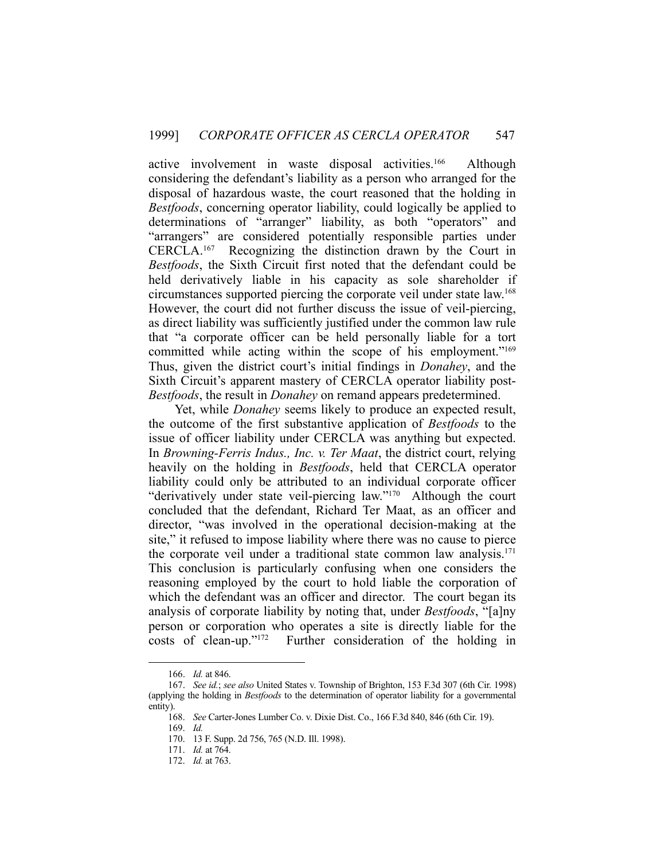active involvement in waste disposal activities.166 Although considering the defendant's liability as a person who arranged for the disposal of hazardous waste, the court reasoned that the holding in *Bestfoods*, concerning operator liability, could logically be applied to determinations of "arranger" liability, as both "operators" and "arrangers" are considered potentially responsible parties under CERCLA.167 Recognizing the distinction drawn by the Court in *Bestfoods*, the Sixth Circuit first noted that the defendant could be held derivatively liable in his capacity as sole shareholder if circumstances supported piercing the corporate veil under state law.168 However, the court did not further discuss the issue of veil-piercing, as direct liability was sufficiently justified under the common law rule that "a corporate officer can be held personally liable for a tort committed while acting within the scope of his employment."<sup>169</sup> Thus, given the district court's initial findings in *Donahey*, and the Sixth Circuit's apparent mastery of CERCLA operator liability post-*Bestfoods*, the result in *Donahey* on remand appears predetermined.

 Yet, while *Donahey* seems likely to produce an expected result, the outcome of the first substantive application of *Bestfoods* to the issue of officer liability under CERCLA was anything but expected. In *Browning-Ferris Indus., Inc. v. Ter Maat*, the district court, relying heavily on the holding in *Bestfoods*, held that CERCLA operator liability could only be attributed to an individual corporate officer "derivatively under state veil-piercing law."170 Although the court concluded that the defendant, Richard Ter Maat, as an officer and director, "was involved in the operational decision-making at the site," it refused to impose liability where there was no cause to pierce the corporate veil under a traditional state common law analysis.<sup>171</sup> This conclusion is particularly confusing when one considers the reasoning employed by the court to hold liable the corporation of which the defendant was an officer and director. The court began its analysis of corporate liability by noting that, under *Bestfoods*, "[a]ny person or corporation who operates a site is directly liable for the costs of clean-up."172 Further consideration of the holding in

 <sup>166.</sup> *Id.* at 846.

 <sup>167.</sup> *See id.*; *see also* United States v. Township of Brighton, 153 F.3d 307 (6th Cir. 1998) (applying the holding in *Bestfoods* to the determination of operator liability for a governmental entity).

 <sup>168.</sup> *See* Carter-Jones Lumber Co. v. Dixie Dist. Co., 166 F.3d 840, 846 (6th Cir. 19).

 <sup>169.</sup> *Id.*

 <sup>170. 13</sup> F. Supp. 2d 756, 765 (N.D. Ill. 1998).

 <sup>171.</sup> *Id.* at 764.

 <sup>172.</sup> *Id.* at 763.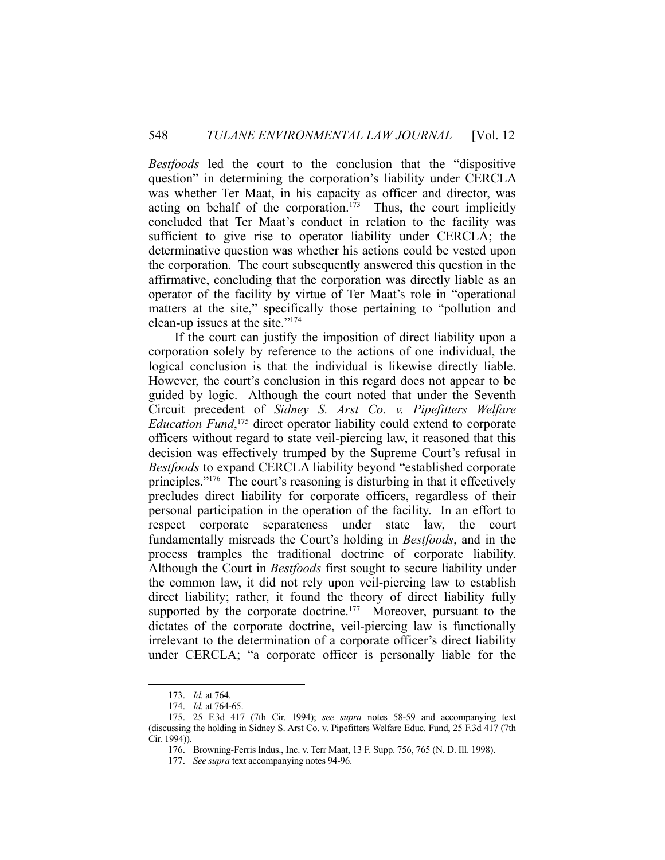*Bestfoods* led the court to the conclusion that the "dispositive question" in determining the corporation's liability under CERCLA was whether Ter Maat, in his capacity as officer and director, was acting on behalf of the corporation.<sup>173</sup> Thus, the court implicitly concluded that Ter Maat's conduct in relation to the facility was sufficient to give rise to operator liability under CERCLA; the determinative question was whether his actions could be vested upon the corporation. The court subsequently answered this question in the affirmative, concluding that the corporation was directly liable as an operator of the facility by virtue of Ter Maat's role in "operational matters at the site," specifically those pertaining to "pollution and clean-up issues at the site."174

 If the court can justify the imposition of direct liability upon a corporation solely by reference to the actions of one individual, the logical conclusion is that the individual is likewise directly liable. However, the court's conclusion in this regard does not appear to be guided by logic. Although the court noted that under the Seventh Circuit precedent of *Sidney S. Arst Co. v. Pipefitters Welfare Education Fund*, 175 direct operator liability could extend to corporate officers without regard to state veil-piercing law, it reasoned that this decision was effectively trumped by the Supreme Court's refusal in *Bestfoods* to expand CERCLA liability beyond "established corporate principles."176 The court's reasoning is disturbing in that it effectively precludes direct liability for corporate officers, regardless of their personal participation in the operation of the facility. In an effort to respect corporate separateness under state law, the court fundamentally misreads the Court's holding in *Bestfoods*, and in the process tramples the traditional doctrine of corporate liability. Although the Court in *Bestfoods* first sought to secure liability under the common law, it did not rely upon veil-piercing law to establish direct liability; rather, it found the theory of direct liability fully supported by the corporate doctrine.<sup>177</sup> Moreover, pursuant to the dictates of the corporate doctrine, veil-piercing law is functionally irrelevant to the determination of a corporate officer's direct liability under CERCLA; "a corporate officer is personally liable for the

 <sup>173.</sup> *Id.* at 764.

 <sup>174.</sup> *Id.* at 764-65.

 <sup>175. 25</sup> F.3d 417 (7th Cir. 1994); *see supra* notes 58-59 and accompanying text (discussing the holding in Sidney S. Arst Co. v. Pipefitters Welfare Educ. Fund, 25 F.3d 417 (7th Cir. 1994)).

 <sup>176.</sup> Browning-Ferris Indus., Inc. v. Terr Maat, 13 F. Supp. 756, 765 (N. D. Ill. 1998).

 <sup>177.</sup> *See supra* text accompanying notes 94-96.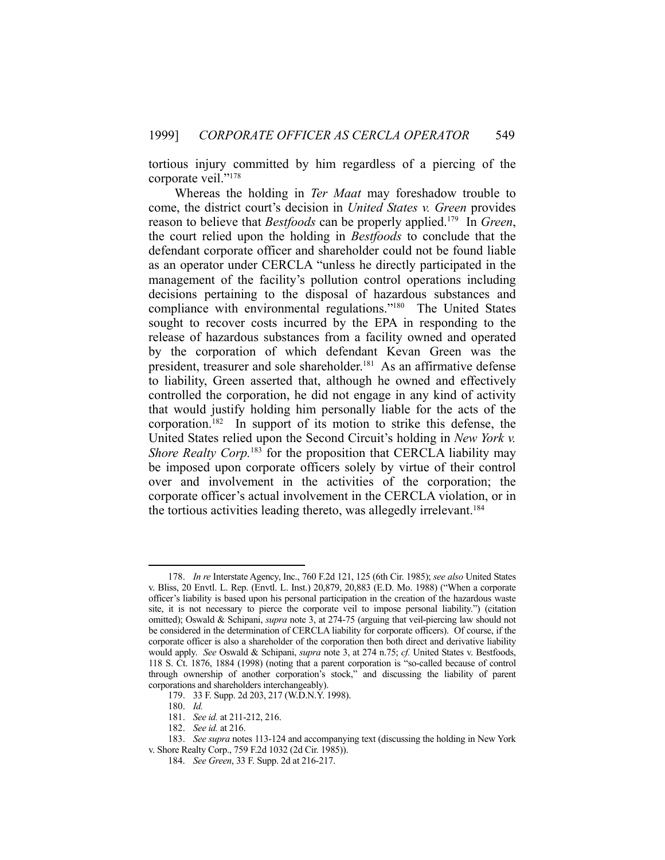tortious injury committed by him regardless of a piercing of the corporate veil."<sup>178</sup>

 Whereas the holding in *Ter Maat* may foreshadow trouble to come, the district court's decision in *United States v. Green* provides reason to believe that *Bestfoods* can be properly applied.179 In *Green*, the court relied upon the holding in *Bestfoods* to conclude that the defendant corporate officer and shareholder could not be found liable as an operator under CERCLA "unless he directly participated in the management of the facility's pollution control operations including decisions pertaining to the disposal of hazardous substances and compliance with environmental regulations."180 The United States sought to recover costs incurred by the EPA in responding to the release of hazardous substances from a facility owned and operated by the corporation of which defendant Kevan Green was the president, treasurer and sole shareholder.<sup>181</sup> As an affirmative defense to liability, Green asserted that, although he owned and effectively controlled the corporation, he did not engage in any kind of activity that would justify holding him personally liable for the acts of the corporation.182 In support of its motion to strike this defense, the United States relied upon the Second Circuit's holding in *New York v. Shore Realty Corp.*<sup>183</sup> for the proposition that CERCLA liability may be imposed upon corporate officers solely by virtue of their control over and involvement in the activities of the corporation; the corporate officer's actual involvement in the CERCLA violation, or in the tortious activities leading thereto, was allegedly irrelevant.<sup>184</sup>

<u>.</u>

 <sup>178.</sup> *In re* Interstate Agency, Inc., 760 F.2d 121, 125 (6th Cir. 1985); *see also* United States v. Bliss, 20 Envtl. L. Rep. (Envtl. L. Inst.) 20,879, 20,883 (E.D. Mo. 1988) ("When a corporate officer's liability is based upon his personal participation in the creation of the hazardous waste site, it is not necessary to pierce the corporate veil to impose personal liability.") (citation omitted); Oswald & Schipani, *supra* note 3, at 274-75 (arguing that veil-piercing law should not be considered in the determination of CERCLA liability for corporate officers). Of course, if the corporate officer is also a shareholder of the corporation then both direct and derivative liability would apply. *See* Oswald & Schipani, *supra* note 3, at 274 n.75; *cf.* United States v. Bestfoods, 118 S. Ct. 1876, 1884 (1998) (noting that a parent corporation is "so-called because of control through ownership of another corporation's stock," and discussing the liability of parent corporations and shareholders interchangeably).

 <sup>179. 33</sup> F. Supp. 2d 203, 217 (W.D.N.Y. 1998).

 <sup>180.</sup> *Id.*

 <sup>181.</sup> *See id.* at 211-212, 216.

 <sup>182.</sup> *See id.* at 216.

 <sup>183.</sup> *See supra* notes 113-124 and accompanying text (discussing the holding in New York v. Shore Realty Corp., 759 F.2d 1032 (2d Cir. 1985)).

 <sup>184.</sup> *See Green*, 33 F. Supp. 2d at 216-217.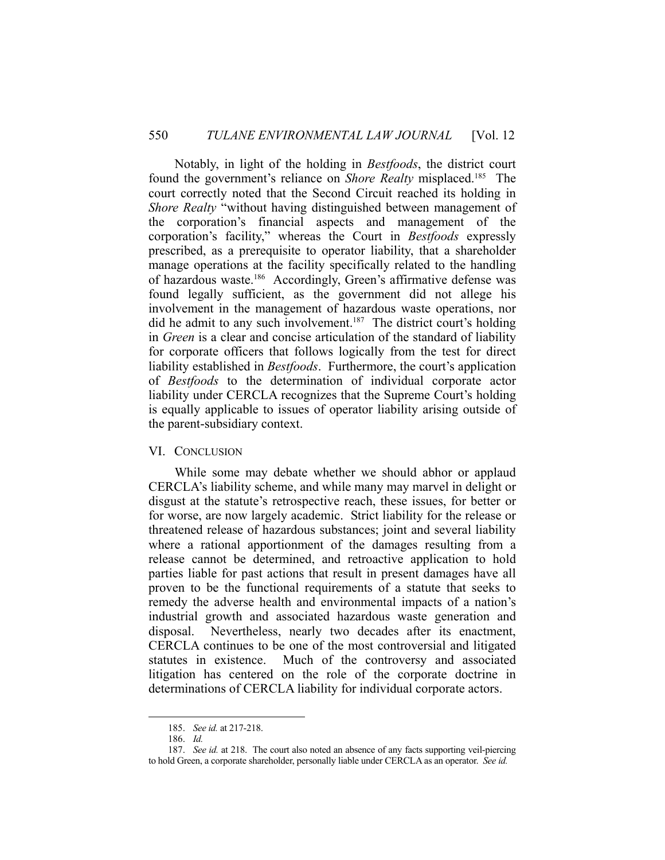Notably, in light of the holding in *Bestfoods*, the district court found the government's reliance on *Shore Realty* misplaced.185 The court correctly noted that the Second Circuit reached its holding in *Shore Realty* "without having distinguished between management of the corporation's financial aspects and management of the corporation's facility," whereas the Court in *Bestfoods* expressly prescribed, as a prerequisite to operator liability, that a shareholder manage operations at the facility specifically related to the handling of hazardous waste.<sup>186</sup> Accordingly, Green's affirmative defense was found legally sufficient, as the government did not allege his involvement in the management of hazardous waste operations, nor did he admit to any such involvement.<sup>187</sup> The district court's holding in *Green* is a clear and concise articulation of the standard of liability for corporate officers that follows logically from the test for direct liability established in *Bestfoods*. Furthermore, the court's application of *Bestfoods* to the determination of individual corporate actor liability under CERCLA recognizes that the Supreme Court's holding is equally applicable to issues of operator liability arising outside of the parent-subsidiary context.

#### VI. CONCLUSION

 While some may debate whether we should abhor or applaud CERCLA's liability scheme, and while many may marvel in delight or disgust at the statute's retrospective reach, these issues, for better or for worse, are now largely academic. Strict liability for the release or threatened release of hazardous substances; joint and several liability where a rational apportionment of the damages resulting from a release cannot be determined, and retroactive application to hold parties liable for past actions that result in present damages have all proven to be the functional requirements of a statute that seeks to remedy the adverse health and environmental impacts of a nation's industrial growth and associated hazardous waste generation and disposal. Nevertheless, nearly two decades after its enactment, CERCLA continues to be one of the most controversial and litigated statutes in existence. Much of the controversy and associated litigation has centered on the role of the corporate doctrine in determinations of CERCLA liability for individual corporate actors.

<u>.</u>

 <sup>185.</sup> *See id.* at 217-218.

 <sup>186.</sup> *Id.*

 <sup>187.</sup> *See id.* at 218. The court also noted an absence of any facts supporting veil-piercing to hold Green, a corporate shareholder, personally liable under CERCLA as an operator. *See id.*